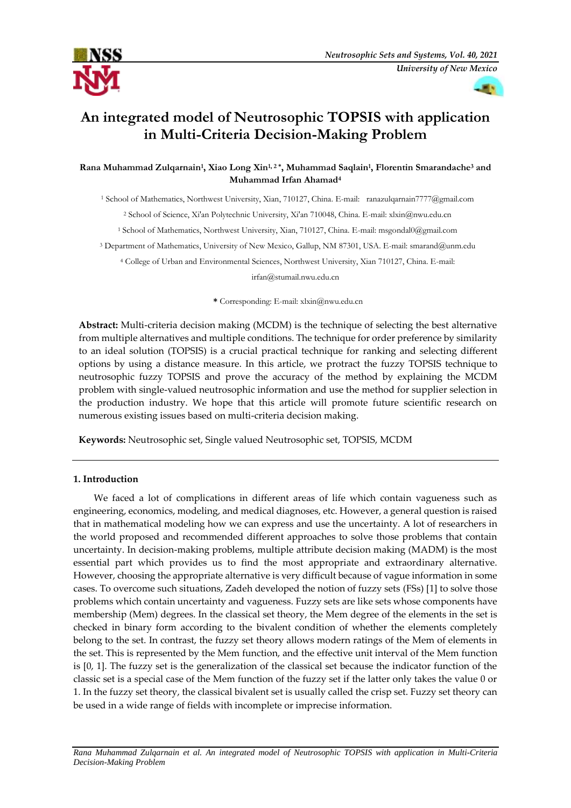



# **An integrated model of Neutrosophic TOPSIS with application in Multi-Criteria Decision-Making Problem**

**Rana Muhammad Zulqarnain<sup>1</sup> , Xiao Long Xin1, 2 \* , Muhammad Saqlain<sup>1</sup> , Florentin Smarandache<sup>3</sup> and Muhammad Irfan Ahamad<sup>4</sup>**

<sup>1</sup> School of Mathematics, Northwest University, Xian, 710127, China. E-mail: [ranazulqarnain7777@gmail.com](mailto:ranazulqarnain7777@gmail.com)

<sup>2</sup> School of Science, Xi'an Polytechnic University, Xi'an 710048, China. E-mail[: xlxin@nwu.edu.cn](mailto:xlxin@nwu.edu.cn)

<sup>1</sup> School of Mathematics, Northwest University, Xian, 710127, China. E-mail: [msgondal0@gmail.com](mailto:msgondal0@gmail.com)

<sup>3</sup> Department of Mathematics, University of New Mexico, Gallup, NM 87301, USA. E-mail[: smarand@unm.edu](mailto:smarand@unm.edu)

<sup>4</sup> College of Urban and Environmental Sciences, Northwest University, Xian 710127, China. E-mail:

[irfan@stumail.nwu.edu.cn](mailto:irfan@stumail.nwu.edu.cn)

**\*** Corresponding: E-mail[: xlxin@nwu.edu.cn](mailto:xlxin@nwu.edu.cn)

**Abstract:** Multi-criteria decision making (MCDM) is the technique of selecting the best alternative from multiple alternatives and multiple conditions. The technique for order preference by similarity to an ideal solution (TOPSIS) is a crucial practical technique for ranking and selecting different options by using a distance measure. In this article, we protract the fuzzy TOPSIS technique to neutrosophic fuzzy TOPSIS and prove the accuracy of the method by explaining the MCDM problem with single-valued neutrosophic information and use the method for supplier selection in the production industry. We hope that this article will promote future scientific research on numerous existing issues based on multi-criteria decision making.

**Keywords:** Neutrosophic set, Single valued Neutrosophic set, TOPSIS, MCDM

# **1. Introduction**

We faced a lot of complications in different areas of life which contain vagueness such as engineering, economics, modeling, and medical diagnoses, etc. However, a general question is raised that in mathematical modeling how we can express and use the uncertainty. A lot of researchers in the world proposed and recommended different approaches to solve those problems that contain uncertainty. In decision-making problems, multiple attribute decision making (MADM) is the most essential part which provides us to find the most appropriate and extraordinary alternative. However, choosing the appropriate alternative is very difficult because of vague information in some cases. To overcome such situations, Zadeh developed the notion of fuzzy sets (FSs) [1] to solve those problems which contain uncertainty and vagueness. Fuzzy sets are like sets whose components have membership (Mem) degrees. In the classical set theory, the Mem degree of the elements in the set is checked in binary form according to the bivalent condition of whether the elements completely belong to the set. In contrast, the fuzzy set theory allows modern ratings of the Mem of elements in the set. This is represented by the Mem function, and the effective unit interval of the Mem function is [0, 1]. The fuzzy set is the generalization of the classical set because the indicator function of the classic set is a special case of the Mem function of the fuzzy set if the latter only takes the value 0 or 1. In the fuzzy set theory, the classical bivalent set is usually called the crisp set. Fuzzy set theory can be used in a wide range of fields with incomplete or imprecise information.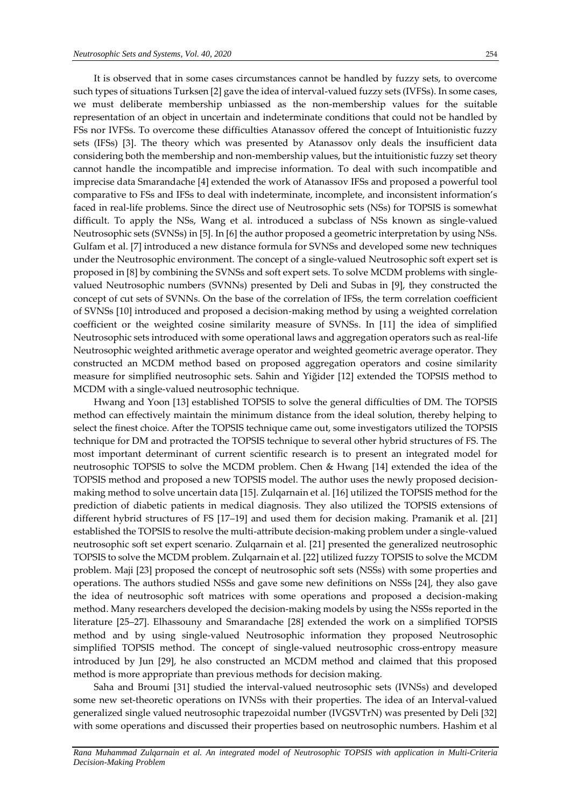It is observed that in some cases circumstances cannot be handled by fuzzy sets, to overcome such types of situations Turksen [2] gave the idea of interval-valued fuzzy sets (IVFSs). In some cases, we must deliberate membership unbiassed as the non-membership values for the suitable representation of an object in uncertain and indeterminate conditions that could not be handled by FSs nor IVFSs. To overcome these difficulties Atanassov offered the concept of Intuitionistic fuzzy sets (IFSs) [3]. The theory which was presented by Atanassov only deals the insufficient data considering both the membership and non-membership values, but the intuitionistic fuzzy set theory cannot handle the incompatible and imprecise information. To deal with such incompatible and imprecise data Smarandache [4] extended the work of Atanassov IFSs and proposed a powerful tool comparative to FSs and IFSs to deal with indeterminate, incomplete, and inconsistent information's faced in real-life problems. Since the direct use of Neutrosophic sets (NSs) for TOPSIS is somewhat difficult. To apply the NSs, Wang et al. introduced a subclass of NSs known as single-valued Neutrosophic sets (SVNSs) in [5]. In [6] the author proposed a geometric interpretation by using NSs. Gulfam et al. [7] introduced a new distance formula for SVNSs and developed some new techniques under the Neutrosophic environment. The concept of a single-valued Neutrosophic soft expert set is proposed in [8] by combining the SVNSs and soft expert sets. To solve MCDM problems with singlevalued Neutrosophic numbers (SVNNs) presented by Deli and Subas in [9], they constructed the concept of cut sets of SVNNs. On the base of the correlation of IFSs, the term correlation coefficient of SVNSs [10] introduced and proposed a decision-making method by using a weighted correlation coefficient or the weighted cosine similarity measure of SVNSs. In [11] the idea of simplified Neutrosophic sets introduced with some operational laws and aggregation operators such as real-life Neutrosophic weighted arithmetic average operator and weighted geometric average operator. They constructed an MCDM method based on proposed aggregation operators and cosine similarity measure for simplified neutrosophic sets. Sahin and Yiğider [12] extended the TOPSIS method to MCDM with a single-valued neutrosophic technique.

Hwang and Yoon [13] established TOPSIS to solve the general difficulties of DM. The TOPSIS method can effectively maintain the minimum distance from the ideal solution, thereby helping to select the finest choice. After the TOPSIS technique came out, some investigators utilized the TOPSIS technique for DM and protracted the TOPSIS technique to several other hybrid structures of FS. The most important determinant of current scientific research is to present an integrated model for neutrosophic TOPSIS to solve the MCDM problem. Chen & Hwang [14] extended the idea of the TOPSIS method and proposed a new TOPSIS model. The author uses the newly proposed decisionmaking method to solve uncertain data [15]. Zulqarnain et al. [16] utilized the TOPSIS method for the prediction of diabetic patients in medical diagnosis. They also utilized the TOPSIS extensions of different hybrid structures of FS [17–19] and used them for decision making. Pramanik et al. [21] established the TOPSIS to resolve the multi-attribute decision-making problem under a single-valued neutrosophic soft set expert scenario. Zulqarnain et al. [21] presented the generalized neutrosophic TOPSIS to solve the MCDM problem. Zulqarnain et al. [22] utilized fuzzy TOPSIS to solve the MCDM problem. Maji [23] proposed the concept of neutrosophic soft sets (NSSs) with some properties and operations. The authors studied NSSs and gave some new definitions on NSSs [24], they also gave the idea of neutrosophic soft matrices with some operations and proposed a decision-making method. Many researchers developed the decision-making models by using the NSSs reported in the literature [25–27]. Elhassouny and Smarandache [28] extended the work on a simplified TOPSIS method and by using single-valued Neutrosophic information they proposed Neutrosophic simplified TOPSIS method. The concept of single-valued neutrosophic cross-entropy measure introduced by Jun [29], he also constructed an MCDM method and claimed that this proposed method is more appropriate than previous methods for decision making.

Saha and Broumi [31] studied the interval-valued neutrosophic sets (IVNSs) and developed some new set-theoretic operations on IVNSs with their properties. The idea of an Interval-valued generalized single valued neutrosophic trapezoidal number (IVGSVTrN) was presented by Deli [32] with some operations and discussed their properties based on neutrosophic numbers. Hashim et al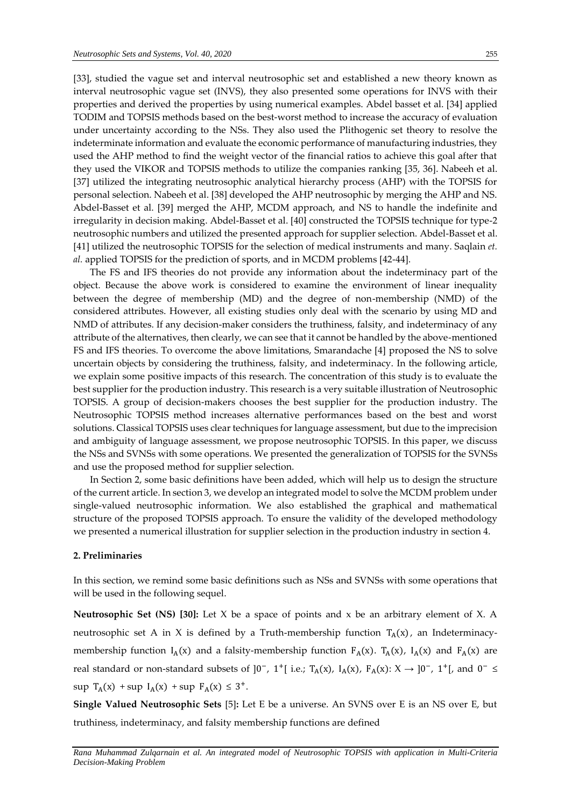[33], studied the vague set and interval neutrosophic set and established a new theory known as interval neutrosophic vague set (INVS), they also presented some operations for INVS with their properties and derived the properties by using numerical examples. Abdel basset et al. [34] applied TODIM and TOPSIS methods based on the best-worst method to increase the accuracy of evaluation under uncertainty according to the NSs. They also used the Plithogenic set theory to resolve the indeterminate information and evaluate the economic performance of manufacturing industries, they used the AHP method to find the weight vector of the financial ratios to achieve this goal after that they used the VIKOR and TOPSIS methods to utilize the companies ranking [35, 36]. Nabeeh et al. [37] utilized the integrating neutrosophic analytical hierarchy process (AHP) with the TOPSIS for personal selection. Nabeeh et al. [38] developed the AHP neutrosophic by merging the AHP and NS. Abdel-Basset et al. [39] merged the AHP, MCDM approach, and NS to handle the indefinite and irregularity in decision making. Abdel-Basset et al. [40] constructed the TOPSIS technique for type-2 neutrosophic numbers and utilized the presented approach for supplier selection. Abdel-Basset et al. [41] utilized the neutrosophic TOPSIS for the selection of medical instruments and many. Saqlain *et. al.* applied TOPSIS for the prediction of sports, and in MCDM problems [42-44].

The FS and IFS theories do not provide any information about the indeterminacy part of the object. Because the above work is considered to examine the environment of linear inequality between the degree of membership (MD) and the degree of non-membership (NMD) of the considered attributes. However, all existing studies only deal with the scenario by using MD and NMD of attributes. If any decision-maker considers the truthiness, falsity, and indeterminacy of any attribute of the alternatives, then clearly, we can see that it cannot be handled by the above-mentioned FS and IFS theories. To overcome the above limitations, Smarandache [4] proposed the NS to solve uncertain objects by considering the truthiness, falsity, and indeterminacy. In the following article, we explain some positive impacts of this research. The concentration of this study is to evaluate the best supplier for the production industry. This research is a very suitable illustration of Neutrosophic TOPSIS. A group of decision-makers chooses the best supplier for the production industry. The Neutrosophic TOPSIS method increases alternative performances based on the best and worst solutions. Classical TOPSIS uses clear techniques for language assessment, but due to the imprecision and ambiguity of language assessment, we propose neutrosophic TOPSIS. In this paper, we discuss the NSs and SVNSs with some operations. We presented the generalization of TOPSIS for the SVNSs and use the proposed method for supplier selection.

In Section 2, some basic definitions have been added, which will help us to design the structure of the current article. In section 3, we develop an integrated model to solve the MCDM problem under single-valued neutrosophic information. We also established the graphical and mathematical structure of the proposed TOPSIS approach. To ensure the validity of the developed methodology we presented a numerical illustration for supplier selection in the production industry in section 4.

#### **2. Preliminaries**

In this section, we remind some basic definitions such as NSs and SVNSs with some operations that will be used in the following sequel.

**Neutrosophic Set (NS) [30]:** Let X be a space of points and x be an arbitrary element of X. A neutrosophic set A in X is defined by a Truth-membership function  $T_A(x)$ , an Indeterminacymembership function  $I_A(x)$  and a falsity-membership function  $F_A(x)$ .  $T_A(x)$ ,  $I_A(x)$  and  $F_A(x)$  are real standard or non-standard subsets of  $]0^-$ , 1<sup>+</sup>[ i.e.; T<sub>A</sub>(x), I<sub>A</sub>(x), F<sub>A</sub>(x): X  $\rightarrow$  ]0<sup>-</sup>, 1<sup>+</sup>[, and 0<sup>-</sup> ≤  $\sup T_A(x) + \sup I_A(x) + \sup F_A(x) \leq 3^+$ .

**Single Valued Neutrosophic Sets** [5]**:** Let E be a universe. An SVNS over E is an NS over E, but truthiness, indeterminacy, and falsity membership functions are defined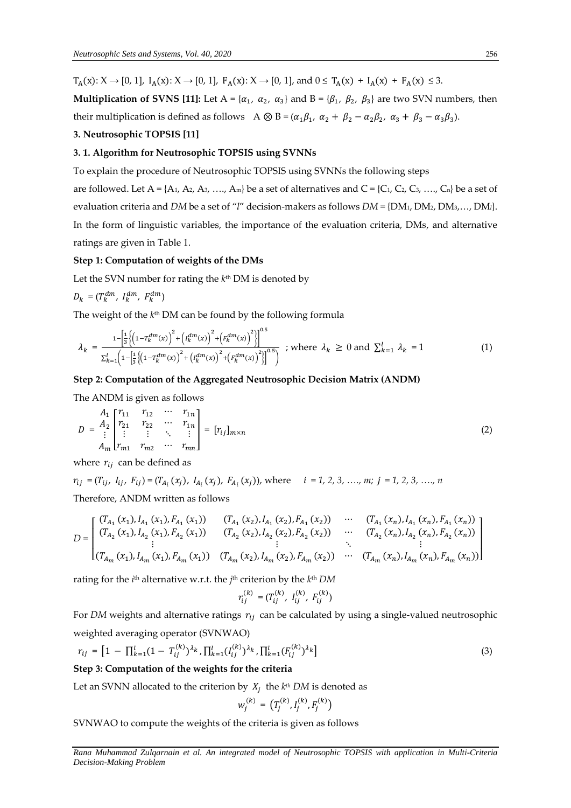$T_A(x): X \to [0, 1], I_A(x): X \to [0, 1], F_A(x): X \to [0, 1],$  and  $0 \le T_A(x) + I_A(x) + F_A(x) \le 3$ .

**Multiplication of SVNS [11]:** Let  $A = \{\alpha_1, \alpha_2, \alpha_3\}$  and  $B = \{\beta_1, \beta_2, \beta_3\}$  are two SVN numbers, then their multiplication is defined as follows A  $\otimes$  B = ( $\alpha_1\beta_1$ ,  $\alpha_2 + \beta_2 - \alpha_2\beta_2$ ,  $\alpha_3 + \beta_3 - \alpha_3\beta_3$ ).

#### **3. Neutrosophic TOPSIS [11]**

# **3. 1. Algorithm for Neutrosophic TOPSIS using SVNNs**

To explain the procedure of Neutrosophic TOPSIS using SVNNs the following steps

are followed. Let  $A = \{A_1, A_2, A_3, \ldots, A_m\}$  be a set of alternatives and  $C = \{C_1, C_2, C_3, \ldots, C_n\}$  be a set of evaluation criteria and *DM* be a set of "*l*" decision-makers as follows *DM* = {DM1, DM2, DM3,…, DM*l*}. In the form of linguistic variables, the importance of the evaluation criteria, DMs, and alternative ratings are given in Table 1.

#### **Step 1: Computation of weights of the DMs**

Let the SVN number for rating the *k*<sup>th</sup> DM is denoted by

$$
D_k\,=\,(T_k^{dm},\ I_k^{dm},\ F_k^{dm})
$$

The weight of the *k*<sup>th</sup> DM can be found by the following formula

$$
\lambda_{k} = \frac{1 - \left[\frac{1}{3} \left\{ \left(1 - T_{k}^{dm}(x)\right)^{2} + \left(I_{k}^{dm}(x)\right)^{2} + \left(F_{k}^{dm}(x)\right)^{2} \right\}\right]^{0.5}}{\sum_{k=1}^{l} \left(1 - \left[\frac{1}{3} \left\{ \left(1 - T_{k}^{dm}(x)\right)^{2} + \left(I_{k}^{dm}(x)\right)^{2} + \left(F_{k}^{dm}(x)\right)^{2} \right\}\right]^{0.5}}; \text{ where } \lambda_{k} \ge 0 \text{ and } \sum_{k=1}^{l} \lambda_{k} = 1 \tag{1}
$$

#### **Step 2: Computation of the Aggregated Neutrosophic Decision Matrix (ANDM)**

The ANDM is given as follows

$$
D = \begin{bmatrix} A_1 & r_{11} & r_{12} & \cdots & r_{1n} \\ r_{21} & r_{22} & \cdots & r_{1n} \\ \vdots & \vdots & \ddots & \vdots \\ A_m & r_{m1} & r_{m2} & \cdots & r_{mn} \end{bmatrix} = [r_{ij}]_{m \times n}
$$
 (2)

where  $r_{ij}$  can be defined as

 $r_{ij} = (T_{ij}, I_{ij}, F_{ij}) = (T_{A_i}(x_j), I_{A_i}(x_j), F_{A_i}(x_j))$ , where  $i = 1, 2, 3, ..., m; j = 1, 2, 3, ..., n$ Therefore, ANDM written as follows

$$
D = \begin{bmatrix} (T_{A_1}(x_1), I_{A_1}(x_1), F_{A_1}(x_1)) & (T_{A_1}(x_2), I_{A_1}(x_2), F_{A_1}(x_2)) & \cdots & (T_{A_1}(x_n), I_{A_1}(x_n), F_{A_1}(x_n)) \\ (T_{A_2}(x_1), I_{A_2}(x_1), F_{A_2}(x_1)) & (T_{A_2}(x_2), I_{A_2}(x_2), F_{A_2}(x_2)) & \cdots & (T_{A_2}(x_n), I_{A_2}(x_n), F_{A_2}(x_n)) \\ \vdots & \vdots & \ddots & \vdots \\ (T_{A_m}(x_1), I_{A_m}(x_1), F_{A_m}(x_1)) & (T_{A_m}(x_2), I_{A_m}(x_2), F_{A_m}(x_2)) & \cdots & (T_{A_m}(x_n), I_{A_m}(x_n), F_{A_m}(x_n)) \end{bmatrix}
$$

rating for the *i*<sup>th</sup> alternative w.r.t. the *j*<sup>th</sup> criterion by the *k*<sup>th</sup> DM

$$
r_{ij}^{(k)} = (T_{ij}^{(k)},\;I_{ij}^{(k)},\;F_{ij}^{(k)})
$$

For *DM* weights and alternative ratings  $r_{ij}$  can be calculated by using a single-valued neutrosophic weighted averaging operator (SVNWAO)

$$
r_{ij} = \left[1 - \prod_{k=1}^{l} (1 - T_{ij}^{(k)})^{\lambda_k}, \prod_{k=1}^{l} (I_{ij}^{(k)})^{\lambda_k}, \prod_{k=1}^{l} (F_{ij}^{(k)})^{\lambda_k}\right]
$$
(3)

**Step 3: Computation of the weights for the criteria** 

Let an SVNN allocated to the criterion by  $X_j$  the  $k^{th}$  DM is denoted as

$$
w_j^{(k)} = (T_j^{(k)}, I_j^{(k)}, F_j^{(k)})
$$

SVNWAO to compute the weights of the criteria is given as follows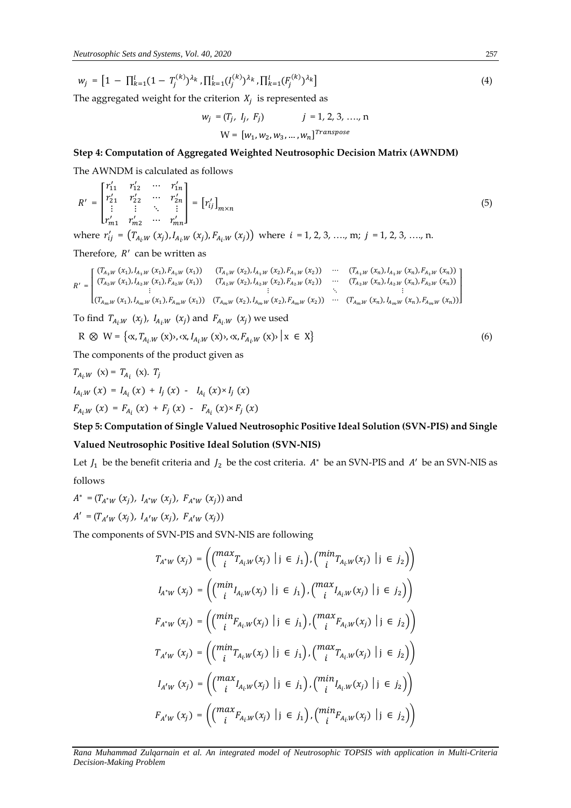$$
w_j = \left[1 - \prod_{k=1}^{l} (1 - T_j^{(k)})^{\lambda_k}, \prod_{k=1}^{l} (I_j^{(k)})^{\lambda_k}, \prod_{k=1}^{l} (F_j^{(k)})^{\lambda_k}\right]
$$
(4)

The aggregated weight for the criterion  $X_j$  is represented as

$$
w_j = (T_j, I_j, F_j) \t j = 1, 2, 3, ..., n
$$
  

$$
W = [w_1, w_2, w_3, ..., w_n]^{Transpose}
$$

# **Step 4: Computation of Aggregated Weighted Neutrosophic Decision Matrix (AWNDM)**

The AWNDM is calculated as follows

$$
R' = \begin{bmatrix} r'_{11} & r'_{12} & \cdots & r'_{1n} \\ r'_{21} & r'_{22} & \cdots & r'_{2n} \\ \vdots & \vdots & \ddots & \vdots \\ r'_{m1} & r'_{m2} & \cdots & r'_{mn} \end{bmatrix} = [r'_{ij}]_{m \times n}
$$
 (5)

where  $r'_{ij} = (T_{A_i,W}(x_j), I_{A_i,W}(x_j), F_{A_i,W}(x_j))$  where  $i = 1, 2, 3, ..., m; j = 1, 2, 3, ..., n$ .

Therefore,  $R'$  can be written as

$$
R' = \begin{bmatrix} (T_{A_1,W}(x_1), I_{A_1,W}(x_1), F_{A_1,W}(x_1)) & (T_{A_1,W}(x_2), I_{A_1,W}(x_2), F_{A_1,W}(x_2)) & \cdots & (T_{A_1,W}(x_n), I_{A_1,W}(x_n)) \\ (T_{A_2,W}(x_1), I_{A_2,W}(x_1), F_{A_2,W}(x_1)) & (T_{A_2,W}(x_2), I_{A_2,W}(x_2), F_{A_2,W}(x_2)) & \cdots & (T_{A_2,W}(x_n), I_{A_2,W}(x_n), F_{A_2,W}(x_n)) \\ \vdots & \vdots & \ddots & \vdots \\ (T_{A_m,W}(x_1), I_{A_m,W}(x_1), F_{A_m,W}(x_1)) & (T_{A_m,W}(x_2), I_{A_m,W}(x_2), F_{A_m,W}(x_2)) & \cdots & (T_{A_m,W}(x_n), I_{A_m,W}(x_n), F_{A_m,W}(x_n)) \end{bmatrix}
$$

To find  $T_{A_i,W}(x_j)$ ,  $I_{A_i,W}(x_j)$  and  $F_{A_i,W}(x_j)$  we used

$$
R \otimes W = \{x, T_{A_i,W}(x), x, I_{A_i,W}(x), x, F_{A_i,W}(x) \mid x \in X\}
$$
(6)

The components of the product given as

$$
T_{A_i.W} (x) = T_{A_i} (x). T_j
$$
  
\n
$$
I_{A_i.W} (x) = I_{A_i} (x) + I_j (x) - I_{A_i} (x) \times I_j (x)
$$
  
\n
$$
F_{A_i.W} (x) = F_{A_i} (x) + F_j (x) - F_{A_i} (x) \times F_j (x)
$$

# **Step 5: Computation of Single Valued Neutrosophic Positive Ideal Solution (SVN-PIS) and Single Valued Neutrosophic Positive Ideal Solution (SVN-NIS)**

Let  $J_1$  be the benefit criteria and  $J_2$  be the cost criteria.  $A^*$  be an SVN-PIS and  $A'$  be an SVN-NIS as follows

$$
A^* = (T_{A^*W} (x_j), I_{A^*W} (x_j), F_{A^*W} (x_j))
$$
 and  

$$
A' = (T_{A'W} (x_j), I_{A'W} (x_j), F_{A'W} (x_j))
$$

The components of SVN-PIS and SVN-NIS are following

$$
T_{A^*W}(x_j) = \left( \binom{\max}{i} T_{A_i \cup W}(x_j) \mid j \in j_1 \right), \left( \binom{\min}{i} T_{A_i \cup W}(x_j) \mid j \in j_2 \right) \right)
$$
  
\n
$$
I_{A^*W}(x_j) = \left( \binom{\min}{i} I_{A_i \cup W}(x_j) \mid j \in j_1 \right), \left( \binom{\max}{i} I_{A_i \cup W}(x_j) \mid j \in j_2 \right) \right)
$$
  
\n
$$
F_{A^*W}(x_j) = \left( \binom{\min}{i} F_{A_i \cup W}(x_j) \mid j \in j_1 \right), \left( \binom{\max}{i} F_{A_i \cup W}(x_j) \mid j \in j_2 \right) \right)
$$
  
\n
$$
T_{A^*W}(x_j) = \left( \binom{\min}{i} T_{A_i \cup W}(x_j) \mid j \in j_1 \right), \left( \binom{\max}{i} T_{A_i \cup W}(x_j) \mid j \in j_2 \right) \right)
$$
  
\n
$$
I_{A^*W}(x_j) = \left( \binom{\max}{i} I_{A_i \cup W}(x_j) \mid j \in j_1 \right), \left( \binom{\min}{i} I_{A_i \cup W}(x_j) \mid j \in j_2 \right) \right)
$$
  
\n
$$
F_{A^*W}(x_j) = \left( \binom{\max}{i} F_{A_i \cup W}(x_j) \mid j \in j_1 \right), \left( \binom{\min}{i} F_{A_i \cup W}(x_j) \mid j \in j_2 \right) \right)
$$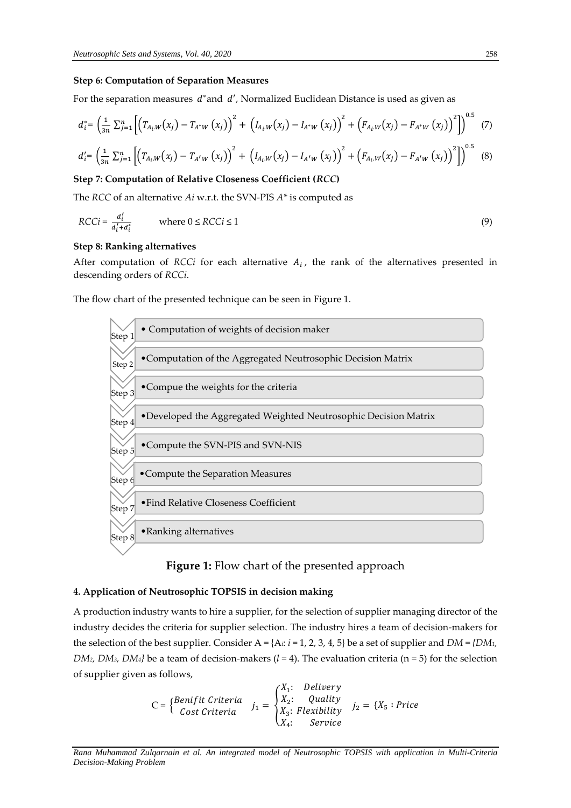#### **Step 6: Computation of Separation Measures**

For the separation measures  $d^*$ and  $d'$ , Normalized Euclidean Distance is used as given as

$$
d_i^* = \left(\frac{1}{3n} \sum_{j=1}^n \left[ \left( T_{A_i,W}(x_j) - T_{A^*W}(x_j) \right)^2 + \left( I_{A_i,W}(x_j) - I_{A^*W}(x_j) \right)^2 + \left( F_{A_i,W}(x_j) - F_{A^*W}(x_j) \right)^2 \right] \right)^{0.5}
$$
 (7)

$$
d'_{i} = \left(\frac{1}{3n} \sum_{j=1}^{n} \left[ \left( T_{A_{i},W}(x_{j}) - T_{A'W}(x_{j}) \right)^{2} + \left( I_{A_{i},W}(x_{j}) - I_{A'W}(x_{j}) \right)^{2} + \left( F_{A_{i},W}(x_{j}) - F_{A'W}(x_{j}) \right)^{2} \right] \right)^{0.5}
$$
(8)

#### **Step 7: Computation of Relative Closeness Coefficient (***RCC***)**

The *RCC* of an alternative *Ai* w.r.t. the SVN-PIS *A\** is computed as

$$
RCCi = \frac{a'_i}{a'_i + a^*_i} \qquad \text{where } 0 \leq RCCi \leq 1 \tag{9}
$$

#### **Step 8: Ranking alternatives**

After computation of  $RCCi$  for each alternative  $A_i$ , the rank of the alternatives presented in descending orders of *RCCi*.

The flow chart of the presented technique can be seen in Figure 1.



# **Figure 1:** Flow chart of the presented approach

#### **4. Application of Neutrosophic TOPSIS in decision making**

A production industry wants to hire a supplier, for the selection of supplier managing director of the industry decides the criteria for supplier selection. The industry hires a team of decision-makers for the selection of the best supplier. Consider  $A = \{A_i: i = 1, 2, 3, 4, 5\}$  be a set of supplier and  $DM = \{DM_1, M_2, M_3, M_4, M_5, M_6, M_7, M_8, M_9, M_9, M_1, M_2, M_3, M_4, M_5, M_6, M_7, M_8, M_9, M_9, M_1, M_2, M_3, M_4, M_7, M_8, M_9, M_9, M_1, M_$ *DM*<sub>2</sub>*, DM*<sub>3</sub>*, DM*<sub>4</sub><sup>*}*</sup> be a team of decision-makers ( $l = 4$ ). The evaluation criteria (n = 5) for the selection of supplier given as follows,

$$
C = \begin{cases} Benifit Criteria & j_1 = \begin{cases} X_1: & Delivery \\ X_2: & Quality \\ Cost Criteria & X_3: Flexiibility \\ X_4: & Service \end{cases} \end{cases} \quad j_2 = \{X_5: Price
$$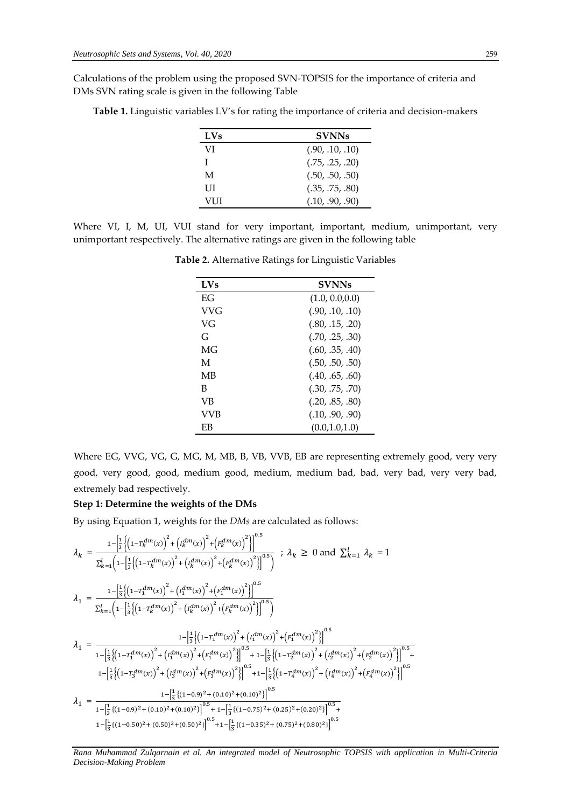Calculations of the problem using the proposed SVN-TOPSIS for the importance of criteria and DMs SVN rating scale is given in the following Table

| <b>LVs</b> | <b>SVNNs</b>    |
|------------|-----------------|
| VI         | (.90, .10, .10) |
| T          | (.75, .25, .20) |
| M          | (.50, .50, .50) |
| UІ         | (.35, .75, .80) |
| VI II      | (.10, .90, .90) |

**Table 1.** Linguistic variables LV's for rating the importance of criteria and decision-makers

Where VI, I, M, UI, VUI stand for very important, important, medium, unimportant, very unimportant respectively. The alternative ratings are given in the following table

| $LVs$ | <b>SVNNs</b>    |
|-------|-----------------|
| ЕG    | (1.0, 0.0, 0.0) |
| VVG   | (.90, .10, .10) |
| VG    | (.80, .15, .20) |
| G     | (.70, .25, .30) |
| MG    | (.60, .35, .40) |
| M     | (.50, .50, .50) |
| МB    | (.40, .65, .60) |
| B     | (.30, .75, .70) |
| VB    | (.20, .85, .80) |
| VVB   | (.10, .90, .90) |
| ЕB    | (0.0, 1.0, 1.0) |

**Table 2.** Alternative Ratings for Linguistic Variables

Where EG, VVG, VG, G, MG, M, MB, B, VB, VVB, EB are representing extremely good, very very good, very good, good, medium good, medium, medium bad, bad, very bad, very very bad, extremely bad respectively.

# **Step 1: Determine the weights of the DMs**

By using Equation 1, weights for the *DMs* are calculated as follows:

$$
\lambda_{k} = \frac{1 - \left[\frac{1}{3}\left\{\left(1 - T_{k}^{dm}(x)\right)^{2} + \left(t_{k}^{dm}(x)\right)^{2} + \left(t_{k}^{dm}(x)\right)^{2}\right\}\right]^{0.5}}{\sum_{k=1}^{l} \left(1 - \left[\frac{1}{3}\left\{\left(1 - T_{k}^{dm}(x)\right)^{2} + \left(t_{k}^{dm}(x)\right)^{2} + \left(t_{k}^{dm}(x)\right)^{2}\right\}\right]^{0.5}}\right) ; \lambda_{k} \ge 0 \text{ and } \sum_{k=1}^{l} \lambda_{k} = 1
$$
\n
$$
\lambda_{1} = \frac{1 - \left[\frac{1}{3}\left\{\left(1 - T_{k}^{dm}(x)\right)^{2} + \left(t_{k}^{dm}(x)\right)^{2} + \left(t_{k}^{dm}(x)\right)^{2}\right\}\right]^{0.5}}{\sum_{k=1}^{l} \left(1 - \left[\frac{1}{3}\left\{\left(1 - T_{k}^{dm}(x)\right)^{2} + \left(t_{k}^{dm}(x)\right)^{2} + \left(t_{k}^{dm}(x)\right)^{2}\right\}\right]^{0.5}}
$$
\n
$$
\lambda_{1} = \frac{1 - \left[\frac{1}{3}\left\{\left(1 - T_{k}^{dm}(x)\right)^{2} + \left(t_{k}^{dm}(x)\right)^{2} + \left(t_{k}^{dm}(x)\right)^{2}\right\}\right]^{0.5}}{1 - \left[\frac{1}{3}\left\{\left(1 - T_{k}^{dm}(x)\right)^{2} + \left(t_{k}^{dm}(x)\right)^{2}\right\}\right]^{0.5} + 1 - \left[\frac{1}{3}\left\{\left(1 - T_{k}^{dm}(x)\right)^{2} + \left(t_{k}^{dm}(x)\right)^{2}\right\}\right]^{0.5}}
$$
\n
$$
1 - \left[\frac{1}{3}\left\{\left(1 - T_{3}^{dm}(x)\right)^{2} + \left(t_{3}^{dm}(x)\right)^{2} + \left(t_{3}^{dm}(x)\right)^{2}\right\}\right]^{0.5}
$$
\n
$$
\lambda_{1} = \frac{1 - \left[\frac{1}{3}\left\{\left(1 - T_{3}^{dm}(x)\right)^{2} + \left(t_{3}^{dm}(x)\right)^{2}\right\
$$

ັ+

*Rana Muhammad Zulqarnain et al. An integrated model of Neutrosophic TOPSIS with application in Multi-Criteria Decision-Making Problem*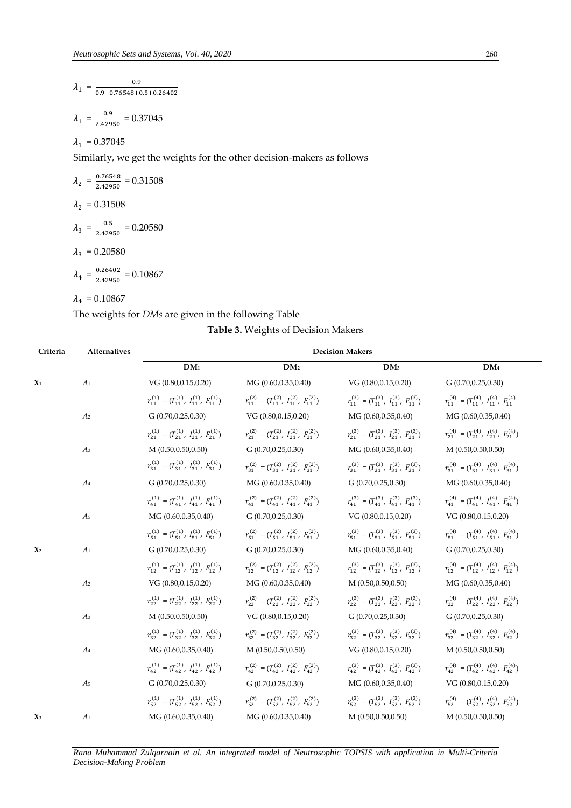$$
\lambda_1 = \frac{0.9}{0.9 + 0.76548 + 0.5 + 0.26402}
$$

$$
\lambda_1 = \frac{0.9}{2.42950} = 0.37045
$$

 $\lambda_1 = 0.37045$ 

Similarly, we get the weights for the other decision-makers as follows

$$
\lambda_2 = \frac{0.76548}{2.42950} = 0.31508
$$
\n
$$
\lambda_2 = 0.31508
$$
\n
$$
\lambda_3 = \frac{0.5}{2.42950} = 0.20580
$$
\n
$$
\lambda_3 = 0.20580
$$
\n
$$
\lambda_4 = \frac{0.26402}{2.42950} = 0.10867
$$
\n
$$
\lambda_4 = 0.10867
$$

The weights for *DMs* are given in the following Table

|  |  | Table 3. Weights of Decision Makers |  |
|--|--|-------------------------------------|--|
|--|--|-------------------------------------|--|

| Criteria       | Alternatives   | <b>Decision Makers</b>                                                                                                  |                                                             |                                                                                                                         |                                                             |
|----------------|----------------|-------------------------------------------------------------------------------------------------------------------------|-------------------------------------------------------------|-------------------------------------------------------------------------------------------------------------------------|-------------------------------------------------------------|
|                |                | DM <sub>1</sub>                                                                                                         | DM <sub>2</sub>                                             | DM <sub>3</sub>                                                                                                         | $\mathbf{DM}_4$                                             |
| $\mathbf{X}_1$ | A <sub>1</sub> | VG (0.80,0.15,0.20)                                                                                                     | MG (0.60,0.35,0.40)                                         | VG (0.80,0.15,0.20)                                                                                                     | G(0.70, 0.25, 0.30)                                         |
|                |                | $r_{11}^{(1)} = (T_{11}^{(1)}, T_{11}^{(1)}, F_{11}^{(1)})$ $r_{11}^{(2)} = (T_{11}^{(2)}, T_{11}^{(2)}, F_{11}^{(2)})$ |                                                             | $r_{11}^{(3)} = (T_{11}^{(3)}, T_{11}^{(3)}, F_{11}^{(3)})$                                                             | $r_{11}^{(4)} = (T_{11}^{(4)}, T_{11}^{(4)}, F_{11}^{(4)})$ |
|                | A <sub>2</sub> | G(0.70, 0.25, 0.30)                                                                                                     | VG (0.80,0.15,0.20)                                         | MG (0.60,0.35,0.40)                                                                                                     | MG (0.60,0.35,0.40)                                         |
|                |                | $r_{21}^{(1)} = (T_{21}^{(1)}, T_{21}^{(1)}, F_{21}^{(1)})$                                                             | $r_{21}^{(2)} = (T_{21}^{(2)}, T_{21}^{(2)}, F_{21}^{(2)})$ | $r_{21}^{(3)} = (T_{21}^{(3)}, T_{21}^{(3)}, F_{21}^{(3)})$                                                             | $r_{21}^{(4)} = (T_{21}^{(4)}, T_{21}^{(4)}, F_{21}^{(4)})$ |
|                | A <sub>3</sub> | M(0.50, 0.50, 0.50)                                                                                                     | G (0.70,0.25,0.30)                                          | MG(0.60, 0.35, 0.40)                                                                                                    | M(0.50, 0.50, 0.50)                                         |
|                |                | $r_{31}^{(1)} = (T_{31}^{(1)},\; I_{31}^{(1)},\; F_{31}^{(1)})$                                                         | $r_{31}^{(2)} = (T_{31}^{(2)}, T_{31}^{(2)}, F_{31}^{(2)})$ | $r_{31}^{(3)} = (T_{31}^{(3)}, T_{31}^{(3)}, F_{31}^{(3)})$                                                             | $r_{31}^{(4)} = (T_{31}^{(4)}, T_{31}^{(4)}, F_{31}^{(4)})$ |
|                | $A_4$          | G(0.70, 0.25, 0.30)                                                                                                     | MG (0.60,0.35,0.40)                                         | G(0.70, 0.25, 0.30)                                                                                                     | MG (0.60,0.35,0.40)                                         |
|                |                | $r_{41}^{(1)} = (T_{41}^{(1)}, T_{41}^{(1)}, F_{41}^{(1)})$                                                             | $T_{41}^{(2)} = (T_{41}^{(2)}, T_{41}^{(2)}, F_{41}^{(2)})$ | $T_{41}^{(3)} = (T_{41}^{(3)}, T_{41}^{(3)}, F_{41}^{(3)})$                                                             | $T_{41}^{(4)} = (T_{41}^{(4)}, T_{41}^{(4)}, F_{41}^{(4)})$ |
|                | A <sub>5</sub> | MG (0.60,0.35,0.40)                                                                                                     | G (0.70,0.25,0.30)                                          | VG (0.80,0.15,0.20)                                                                                                     | VG (0.80,0.15,0.20)                                         |
|                |                | $r_{51}^{(1)} = (T_{51}^{(1)}, T_{51}^{(1)}, F_{51}^{(1)})$                                                             | $r_{51}^{(2)} = (T_{51}^{(2)}, T_{51}^{(2)}, F_{51}^{(2)})$ | $r_{51}^{(3)} = (T_{51}^{(3)}, T_{51}^{(3)}, F_{51}^{(3)})$                                                             | $r_{51}^{(4)} = (T_{51}^{(4)}, T_{51}^{(4)}, F_{51}^{(4)})$ |
| $\mathbf{X}_2$ | A <sub>1</sub> | G(0.70, 0.25, 0.30)                                                                                                     | G(0.70, 0.25, 0.30)                                         | MG (0.60,0.35,0.40)                                                                                                     | G(0.70, 0.25, 0.30)                                         |
|                |                | $r_{12}^{(1)} = (T_{12}^{(1)}, T_{12}^{(1)}, F_{12}^{(1)})$                                                             | $r_{12}^{(2)} = (T_{12}^{(2)}, T_{12}^{(2)}, F_{12}^{(2)})$ | $r_{12}^{(3)} = (T_{12}^{(3)}, T_{12}^{(3)}, F_{12}^{(3)})$                                                             | $r_{12}^{(4)} = (T_{12}^{(4)}, T_{12}^{(4)}, F_{12}^{(4)})$ |
|                | A <sub>2</sub> | VG (0.80,0.15,0.20)                                                                                                     | MG(0.60, 0.35, 0.40)                                        | M(0.50, 0.50, 0.50)                                                                                                     | MG (0.60,0.35,0.40)                                         |
|                |                | $r_{22}^{(1)} = (T_{22}^{(1)}, T_{22}^{(1)}, F_{22}^{(1)})$                                                             | $r_{22}^{(2)} = (T_{22}^{(2)}, T_{22}^{(2)}, F_{22}^{(2)})$ | $r_{22}^{(3)} = (T_{22}^{(3)}, T_{22}^{(3)}, F_{22}^{(3)})$                                                             | $r_{22}^{(4)} = (T_{22}^{(4)}, T_{22}^{(4)}, F_{22}^{(4)})$ |
|                | A <sub>3</sub> | M(0.50, 0.50, 0.50)                                                                                                     | VG (0.80,0.15,0.20)                                         | G (0.70,0.25,0.30)                                                                                                      | G (0.70,0.25,0.30)                                          |
|                |                | $r_{32}^{(1)} = (T_{32}^{(1)}, T_{32}^{(1)}, F_{32}^{(1)})$                                                             | $r_{32}^{(2)} = (T_{32}^{(2)}, T_{32}^{(2)}, F_{32}^{(2)})$ | $r_{32}^{(3)} = (T_{32}^{(3)}, T_{32}^{(3)}, F_{32}^{(3)})$                                                             | $r_{32}^{(4)} = (T_{32}^{(4)}, T_{32}^{(4)}, F_{32}^{(4)})$ |
|                | A <sub>4</sub> | MG (0.60,0.35,0.40)                                                                                                     | M (0.50,0.50,0.50)                                          | VG (0.80,0.15,0.20)                                                                                                     | M (0.50,0.50,0.50)                                          |
|                |                | $r_{42}^{(1)} = (T_{42}^{(1)}, T_{42}^{(1)}, F_{42}^{(1)})$                                                             | $r_{42}^{(2)} = (T_{42}^{(2)}, T_{42}^{(2)}, F_{42}^{(2)})$ | $r_{42}^{(3)} = (T_{42}^{(3)}, T_{42}^{(3)}, F_{42}^{(3)})$ $r_{42}^{(4)} = (T_{42}^{(4)}, T_{42}^{(4)}, F_{42}^{(4)})$ |                                                             |
|                | A <sub>5</sub> | G(0.70, 0.25, 0.30)                                                                                                     | G(0.70, 0.25, 0.30)                                         | MG (0.60,0.35,0.40)                                                                                                     | VG $(0.80, 0.15, 0.20)$                                     |
|                |                | $r_{52}^{(1)} = (T_{52}^{(1)}, T_{52}^{(1)}, F_{52}^{(1)})$                                                             | $r_{52}^{(2)} = (T_{52}^{(2)}, T_{52}^{(2)}, F_{52}^{(2)})$ | $r_{52}^{(3)} = (T_{52}^{(3)}, T_{52}^{(3)}, F_{52}^{(3)})$                                                             | $r_{52}^{(4)} = (T_{52}^{(4)}, T_{52}^{(4)}, F_{52}^{(4)})$ |
| $\chi_3$       | A <sub>1</sub> | MG (0.60,0.35,0.40)                                                                                                     | MG (0.60,0.35,0.40)                                         | M(0.50, 0.50, 0.50)                                                                                                     | M(0.50, 0.50, 0.50)                                         |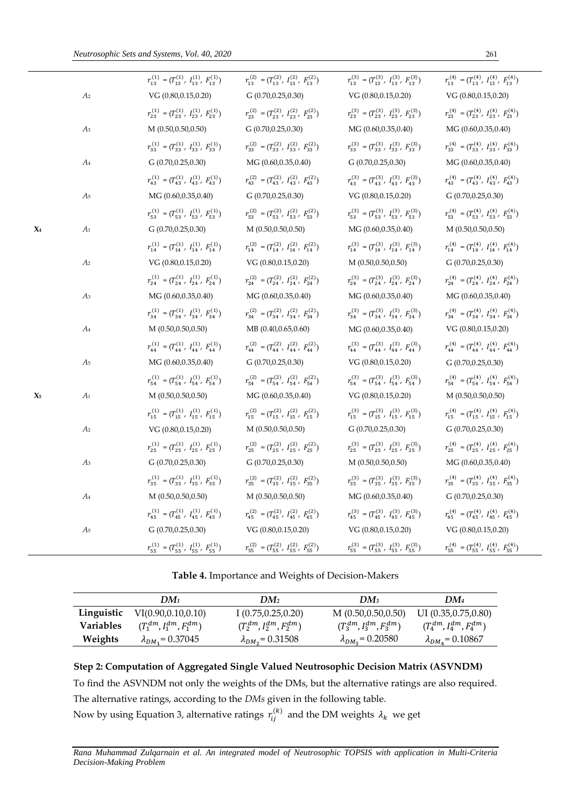|                       |                | $r_{13}^{(1)} = (T_{13}^{(1)},\; I_{13}^{(1)},\; F_{13}^{(1)})$ | $r_{13}^{(2)} = (T_{13}^{(2)}, T_{13}^{(2)}, F_{13}^{(2)})$       | $r_{13}^{(3)} = (T_{13}^{(3)}, T_{13}^{(3)}, F_{13}^{(3)})$ | $r_{13}^{(4)} = (T_{13}^{(4)}, T_{13}^{(4)}, F_{13}^{(4)})$ |
|-----------------------|----------------|-----------------------------------------------------------------|-------------------------------------------------------------------|-------------------------------------------------------------|-------------------------------------------------------------|
|                       | A2             | VG(0.80, 0.15, 0.20)                                            | G(0.70, 0.25, 0.30)                                               | VG(0.80, 0.15, 0.20)                                        | VG (0.80,0.15,0.20)                                         |
|                       |                | $r_{23}^{(1)} = (T_{23}^{(1)}, T_{23}^{(1)}, F_{23}^{(1)})$     | $r_{23}^{(2)} = (T_{23}^{(2)}, T_{23}^{(2)}, F_{23}^{(2)})$       | $r_{23}^{(3)} = (T_{23}^{(3)}, T_{23}^{(3)}, F_{23}^{(3)})$ | $r_{23}^{(4)} = (T_{23}^{(4)}, T_{23}^{(4)}, F_{23}^{(4)})$ |
|                       | Aз             | M(0.50, 0.50, 0.50)                                             | G(0.70, 0.25, 0.30)                                               | MG (0.60,0.35,0.40)                                         | MG (0.60,0.35,0.40)                                         |
|                       |                | $r_{33}^{(1)} = (T_{33}^{(1)}, T_{33}^{(1)}, F_{33}^{(1)})$     | $r_{33}^{(2)} = (T_{33}^{(2)}, T_{33}^{(2)}, F_{33}^{(2)})$       | $r_{33}^{(3)} = (T_{33}^{(3)}, T_{33}^{(3)}, F_{33}^{(3)})$ | $r_{33}^{(4)} = (T_{33}^{(4)}, T_{33}^{(4)}, F_{33}^{(4)})$ |
|                       | A4             | G(0.70, 0.25, 0.30)                                             | MG (0.60,0.35,0.40)                                               | G(0.70, 0.25, 0.30)                                         | MG (0.60,0.35,0.40)                                         |
|                       |                | $r_{43}^{(1)} = (T_{43}^{(1)}, T_{43}^{(1)}, F_{43}^{(1)})$     | $r_{43}^{(2)} = (T_{43}^{(2)}, T_{43}^{(2)}, F_{43}^{(2)})$       | $r_{43}^{(3)} = (T_{43}^{(3)}, T_{43}^{(3)}, F_{43}^{(3)})$ | $r_{43}^{(4)} = (T_{43}^{(4)}, T_{43}^{(4)}, F_{43}^{(4)})$ |
|                       | A5             | MG (0.60,0.35,0.40)                                             | G(0.70, 0.25, 0.30)                                               | VG(0.80, 0.15, 0.20)                                        | G(0.70, 0.25, 0.30)                                         |
|                       |                | $r_{53}^{(1)} = (T_{53}^{(1)}, T_{53}^{(1)}, F_{53}^{(1)})$     | $r_{53}^{(2)} = (T_{53}^{(2)}, T_{53}^{(2)}, F_{53}^{(2)})$       | $r_{53}^{(3)} = (T_{53}^{(3)}, T_{53}^{(3)}, F_{53}^{(3)})$ | $r_{53}^{(4)} = (T_{53}^{(4)}, T_{53}^{(4)}, F_{53}^{(4)})$ |
| X4                    | A1             | G(0.70, 0.25, 0.30)                                             | M(0.50, 0.50, 0.50)                                               | MG (0.60,0.35,0.40)                                         | M(0.50, 0.50, 0.50)                                         |
|                       |                | $r_{14}^{(1)} = (T_{14}^{(1)}, T_{14}^{(1)}, F_{14}^{(1)})$     | $r_{14}^{(2)} = (T_{14}^{(2)}, T_{14}^{(2)}, F_{14}^{(2)})$       | $r_{14}^{(3)} = (T_{14}^{(3)}, T_{14}^{(3)}, F_{14}^{(3)})$ | $r_{14}^{(4)} = (T_{14}^{(4)}, T_{14}^{(4)}, F_{14}^{(4)})$ |
|                       | A2             | VG (0.80,0.15,0.20)                                             | VG (0.80,0.15,0.20)                                               | M(0.50, 0.50, 0.50)                                         | G(0.70, 0.25, 0.30)                                         |
|                       |                | $r_{24}^{(1)} = (T_{24}^{(1)}, T_{24}^{(1)}, F_{24}^{(1)})$     | $r_{24}^{(2)} = (T_{24}^{(2)}, T_{24}^{(2)}, F_{24}^{(2)})$       | $r_{24}^{(3)} = (T_{24}^{(3)}, T_{24}^{(3)}, F_{24}^{(3)})$ | $r_{24}^{(4)} = (T_{24}^{(4)}, T_{24}^{(4)}, F_{24}^{(4)})$ |
|                       | Aз             | MG (0.60,0.35,0.40)                                             | MG (0.60,0.35,0.40)                                               | MG (0.60,0.35,0.40)                                         | MG (0.60,0.35,0.40)                                         |
|                       |                | $r_{34}^{(1)} = (T_{34}^{(1)}, T_{34}^{(1)}, T_{34}^{(1)})$     | $r_{34}^{(2)} = (T_{34}^{(2)}, T_{34}^{(2)}, F_{34}^{(2)})$       | $r_{34}^{(3)} = (T_{34}^{(3)}, T_{34}^{(3)}, F_{34}^{(3)})$ | $r_{34}^{(4)} = (T_{34}^{(4)}, T_{34}^{(4)}, F_{34}^{(4)})$ |
|                       | A4             | M(0.50, 0.50, 0.50)                                             | MB (0.40,0.65,0.60)                                               | MG (0.60,0.35,0.40)                                         | VG (0.80,0.15,0.20)                                         |
|                       |                | $r_{44}^{(1)} = (T_{44}^{(1)}, T_{44}^{(1)}, F_{44}^{(1)})$     | $r_{44}^{(2)} = (T_{44}^{(2)}, T_{44}^{(2)}, F_{44}^{(2)})$       | $r_{44}^{(3)} = (T_{44}^{(3)}, T_{44}^{(3)}, F_{44}^{(3)})$ | $r_{44}^{(4)} = (T_{44}^{(4)}, T_{44}^{(4)}, F_{44}^{(4)})$ |
|                       | A5             | MG(0.60, 0.35, 0.40)                                            | G(0.70, 0.25, 0.30)                                               | VG (0.80, 0.15, 0.20)                                       | G(0.70, 0.25, 0.30)                                         |
|                       |                | $r_{54}^{(1)} = (T_{54}^{(1)}, T_{54}^{(1)}, F_{54}^{(1)})$     | $r_{54}^{(2)} = (T_{54}^{(2)}, T_{54}^{(2)}, F_{54}^{(2)})$       | $r_{54}^{(3)} = (T_{54}^{(3)}, T_{54}^{(3)}, F_{54}^{(3)})$ | $r_{54}^{(4)} = (T_{54}^{(4)}, T_{54}^{(4)}, F_{54}^{(4)})$ |
| $\boldsymbol{\chi}_5$ | A1             | M(0.50, 0.50, 0.50)                                             | MG (0.60,0.35,0.40)                                               | VG (0.80,0.15,0.20)                                         | M(0.50, 0.50, 0.50)                                         |
|                       |                | $r_{15}^{(1)} = (T_{15}^{(1)}, T_{15}^{(1)}, F_{15}^{(1)})$     | $r_{15}^{(2)} = (T_{15}^{(2)}, T_{15}^{(2)}, F_{15}^{(2)})$       | $r_{15}^{(3)} = (T_{15}^{(3)}, T_{15}^{(3)}, F_{15}^{(3)})$ | $r_{15}^{(4)} = (T_{15}^{(4)}, T_{15}^{(4)}, F_{15}^{(4)})$ |
|                       | A <sub>2</sub> | VG(0.80, 0.15, 0.20)                                            | M(0.50, 0.50, 0.50)                                               | G(0.70, 0.25, 0.30)                                         | G(0.70, 0.25, 0.30)                                         |
|                       |                | $r_{25}^{(1)} = (T_{25}^{(1)}, T_{25}^{(1)}, F_{25}^{(1)})$     | $r_{25}^{(2)} = (T_{25}^{(2)}, T_{25}^{(2)}, F_{25}^{(2)})$       | $r_{25}^{(3)} = (T_{25}^{(3)}, T_{25}^{(3)}, F_{25}^{(3)})$ | $r_{25}^{(4)} = (T_{25}^{(4)}, T_{25}^{(4)}, F_{25}^{(4)})$ |
|                       | Aз             | G(0.70, 0.25, 0.30)                                             | G(0.70, 0.25, 0.30)                                               | M(0.50, 0.50, 0.50)                                         | MG (0.60,0.35,0.40)                                         |
|                       |                | $r_{35}^{(1)} = (T_{35}^{(1)}, T_{35}^{(1)}, F_{35}^{(1)})$     | $r_{35}^{(2)} = (T_{35}^{(2)}, T_{35}^{(2)}, F_{35}^{(2)})$       | $r_{35}^{(3)} = (T_{35}^{(3)}, T_{35}^{(3)}, F_{35}^{(3)})$ | $r_{35}^{(4)} = (T_{35}^{(4)}, T_{35}^{(4)}, F_{35}^{(4)})$ |
|                       | A4             | M(0.50, 0.50, 0.50)                                             | M(0.50, 0.50, 0.50)                                               | MG(0.60, 0.35, 0.40)                                        | G(0.70, 0.25, 0.30)                                         |
|                       |                | $r_{45}^{(1)} = (T_{45}^{(1)}, T_{45}^{(1)}, F_{45}^{(1)})$     | $r_{45}^{(2)} = (T_{45}^{(2)}, T_{45}^{(2)}, F_{45}^{(2)})$       | $r_{45}^{(3)} = (T_{45}^{(3)}, T_{45}^{(3)}, F_{45}^{(3)})$ | $r_{45}^{(4)} = (T_{45}^{(4)}, T_{45}^{(4)}, F_{45}^{(4)})$ |
|                       | A <sub>5</sub> | G(0.70, 0.25, 0.30)                                             | VG (0.80,0.15,0.20)                                               | VG (0.80,0.15,0.20)                                         | VG (0.80,0.15,0.20)                                         |
|                       |                | $r_{55}^{(1)} = (T_{55}^{(1)}, T_{55}^{(1)}, F_{55}^{(1)})$     | $r_{55}^{(2)} = (T_{55}^{(2)}\,,\;I_{55}^{(2)}\,,\;F_{55}^{(2)})$ | $r_{55}^{(3)} = (T_{55}^{(3)}, T_{55}^{(3)}, F_{55}^{(3)})$ | $r_{55}^{(4)} = (T_{55}^{(4)}, T_{55}^{(4)}, F_{55}^{(4)})$ |
|                       |                |                                                                 |                                                                   |                                                             |                                                             |

**Table 4.** Importance and Weights of Decision-Makers

|                  | DM1                              | DM2                              | $DM_3$                           | $DM_4$                           |
|------------------|----------------------------------|----------------------------------|----------------------------------|----------------------------------|
| Linguistic       | VI(0.90, 0.10, 0.10)             | I(0.75, 0.25, 0.20)              | M(0.50, 0.50, 0.50)              | UI $(0.35, 0.75, 0.80)$          |
| <b>Variables</b> | $(T_1^{dm}, I_1^{dm}, F_1^{dm})$ | $(T_2^{dm}, I_2^{dm}, F_2^{dm})$ | $(T_3^{dm}, I_3^{dm}, F_3^{dm})$ | $(T_4^{dm}, I_4^{dm}, F_4^{dm})$ |
| Weights          | $\lambda_{DM_1} = 0.37045$       | $\lambda_{DM_2} = 0.31508$       | $\lambda_{DM_3} = 0.20580$       | $\lambda_{DM_4} = 0.10867$       |

**Step 2: Computation of Aggregated Single Valued Neutrosophic Decision Matrix (ASVNDM)**  To find the ASVNDM not only the weights of the DMs, but the alternative ratings are also required. The alternative ratings, according to the *DMs* given in the following table. Now by using Equation 3, alternative ratings  $r^{(k)}_{ij}$  and the DM weights  $\lambda_k$  we get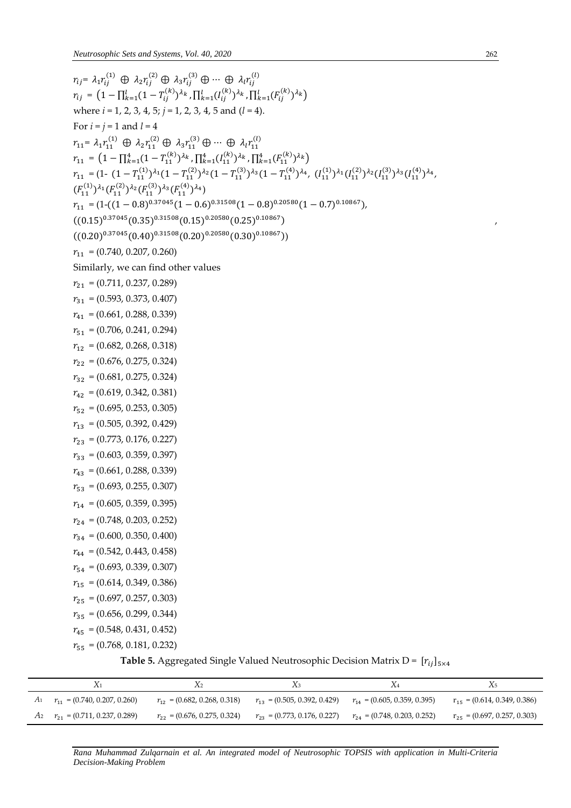$$
r_{ij} = \lambda_i r_{ij}^{(1)} \oplus \lambda_2 r_{ij}^{(2)} \oplus \lambda_3 r_{ij}^{(3)} \oplus \cdots \oplus \lambda_i r_{ij}^{(1)}
$$
\n
$$
r_{ij} = (1 - \prod_{k=1}^{1} (1 - T_{ij}^{(k)})^k \cdot \prod_{k=1}^{1} (J_{ij}^{(k)})^k \cdot \prod_{k=1}^{1} (J_{ij}^{(k)})^k \cdot
$$
\nwhere  $i = 1, 2, 3, 4, 5$  and  $(l = 4)$ .\n
$$
r_{i} = i = 1, 2, 3, 4, 5
$$
\n
$$
r_{i} = \sum_{j=1}^{1} (1 - T_{ij}^{(k)})^{\lambda_{j}} (1 - T_{ij}^{(k)})^{\lambda_{k}} \cdot \prod_{k=1}^{k} (J_{ij}^{(k)})^{\lambda_{k}}
$$
\n
$$
r_{i+1} = (1 - \prod_{k=1}^{2} (1 - T_{ij}^{(k)})^{\lambda_{k}} (1 - T_{ij}^{(2)})^{\lambda_{2}} (1 - T_{ij}^{(2)})^{\lambda_{2}} (1 - T_{ij}^{(2)})^{\lambda_{2}} (1 - T_{ij}^{(2)})^{\lambda_{2}} (1 - T_{ij}^{(2)})^{\lambda_{2}} (1 - T_{ij}^{(2)})^{\lambda_{2}} (1 - T_{ij}^{(2)})^{\lambda_{2}} (1 - T_{ij}^{(2)})^{\lambda_{2}} (1 - T_{ij}^{(2)})^{\lambda_{2}} (1 - T_{ij}^{(2)})^{\lambda_{2}} (1 - T_{ij}^{(2)})^{\lambda_{2}} (1 - T_{ij}^{(2)})^{\lambda_{2}} (1 - T_{ij}^{(2)})^{\lambda_{2}} (1 - T_{ij}^{(2)})^{\lambda_{2}} (1 - T_{ij}^{(2)})^{\lambda_{2}} (1 - T_{ij}^{(2)})^{\lambda_{2}} (1 - T_{ij}^{(2)})^{\lambda_{2}} (1 - T_{ij}^{(2)})^{\lambda_{2}} (1 - T_{ij}^{(2)})^{\lambda_{2}} (1 - T_{ij}^{(2)})^{\lambda_{2}} (1 - T_{ij}^{(2)})^{\lambda_{2}} (1 - T_{ij}^{(2)})^{\lambda_{2}} (1 - T_{ij}^{(2)})^{\lambda_{2}} (1 - T_{ij}^{(2)})^{\lambda_{2
$$

**Table 5.** Aggregated Single Valued Neutrosophic Decision Matrix D =  $[r_{ij}]_{5\times4}$ 

| $r_{11} = (0.740, 0.207, 0.260)$       | $r_{12} = (0.682, 0.268, 0.318)$ | $r_{13} = (0.505, 0.392, 0.429)$                                  | $r_{14} = (0.605, 0.359, 0.395)$ | $r_{15} = (0.614, 0.349, 0.386)$ |
|----------------------------------------|----------------------------------|-------------------------------------------------------------------|----------------------------------|----------------------------------|
| $A_2$ $r_{21}$ = (0.711, 0.237, 0.289) | $r_{22} = (0.676, 0.275, 0.324)$ | $r_{23} = (0.773, 0.176, 0.227)$ $r_{24} = (0.748, 0.203, 0.252)$ |                                  | $r_{25} = (0.697, 0.257, 0.303)$ |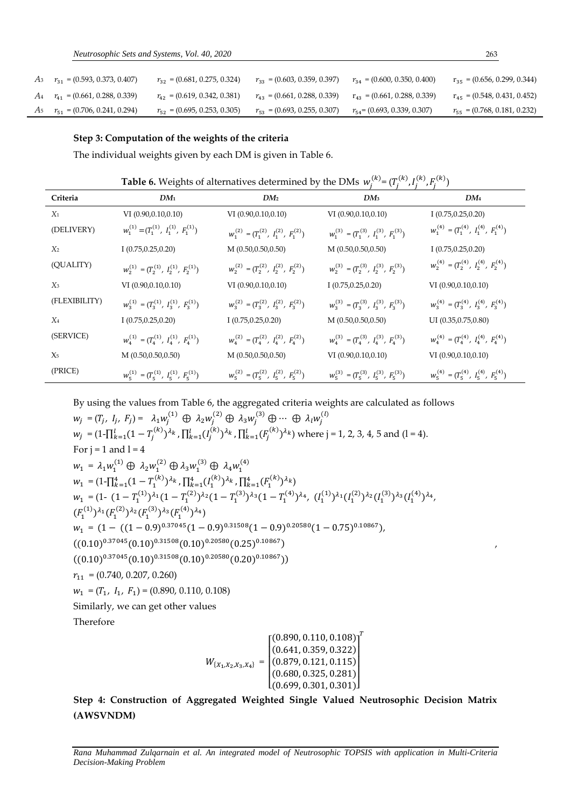| $r_{31} = (0.593, 0.373, 0.407)$       | $r_{32} = (0.681, 0.275, 0.324)$ | $r_{33} = (0.603, 0.359, 0.397)$ | $r_{34} = (0.600, 0.350, 0.400)$ | $r_{35} = (0.656, 0.299, 0.344)$ |
|----------------------------------------|----------------------------------|----------------------------------|----------------------------------|----------------------------------|
| $A_4$ $r_{41}$ = (0.661, 0.288, 0.339) | $r_{42} = (0.619, 0.342, 0.381)$ | $r_{43} = (0.661, 0.288, 0.339)$ | $r_{43} = (0.661, 0.288, 0.339)$ | $r_{45} = (0.548, 0.431, 0.452)$ |
| $A_5$ $r_{51}$ = (0.706, 0.241, 0.294) | $r_{52} = (0.695, 0.253, 0.305)$ | $r_{53} = (0.693, 0.255, 0.307)$ | $r_{54}$ = (0.693, 0.339, 0.307) | $r_{55} = (0.768, 0.181, 0.232)$ |

#### **Step 3: Computation of the weights of the criteria**

The individual weights given by each DM is given in Table 6.

**Table 6.** Weights of alternatives determined by the DMs  $w_j^{(k)} = (T_j^{(k)}, I_j^{(k)})$  $j^{(k)}, F_j^{(k)}$ 

| Criteria       | $DM_1$                                          | DM <sub>2</sub>                                 | DM <sub>3</sub>                                 | $DM_4$                                          |
|----------------|-------------------------------------------------|-------------------------------------------------|-------------------------------------------------|-------------------------------------------------|
| $X_1$          | VI $(0.90, 0.10, 0.10)$                         | VI $(0.90, 0.10, 0.10)$                         | VI $(0.90, 0.10, 0.10)$                         | I $(0.75, 0.25, 0.20)$                          |
| (DELIVERY)     | $W_1^{(1)} = (T_1^{(1)}, T_1^{(1)}, F_1^{(1)})$ | $w_1^{(2)} = (T_1^{(2)}, T_1^{(2)}, F_1^{(2)})$ | $w_1^{(3)} = (T_1^{(3)}, T_1^{(3)}, F_1^{(3)})$ | $W_1^{(4)} = (T_1^{(4)}, T_1^{(4)}, F_1^{(4)})$ |
| X <sub>2</sub> | I(0.75, 0.25, 0.20)                             | M(0.50, 0.50, 0.50)                             | M(0.50, 0.50, 0.50)                             | I(0.75, 0.25, 0.20)                             |
| (QUALITY)      | $w_2^{(1)} = (T_2^{(1)}, T_2^{(1)}, F_2^{(1)})$ | $w_2^{(2)} = (T_2^{(2)}, T_2^{(2)}, F_2^{(2)})$ | $w_2^{(3)} = (T_2^{(3)}, T_2^{(3)}, F_2^{(3)})$ | $w_2^{(4)} = (T_2^{(4)}, T_2^{(4)}, F_2^{(4)})$ |
| $X_3$          | VI (0.90,0.10,0.10)                             | VI (0.90,0.10,0.10)                             | I(0.75, 0.25, 0.20)                             | VI (0.90,0.10,0.10)                             |
| (FLEXIBILITY)  | $w_3^{(1)} = (T_3^{(1)}, T_3^{(1)}, F_3^{(1)})$ | $w_3^{(2)} = (T_3^{(2)}, T_3^{(2)}, F_3^{(2)})$ | $W_3^{(3)} = (T_3^{(3)}, T_3^{(3)}, F_3^{(3)})$ | $W_3^{(4)} = (T_3^{(4)}, T_3^{(4)}, F_3^{(4)})$ |
| $X_4$          | I(0.75, 0.25, 0.20)                             | I(0.75, 0.25, 0.20)                             | M(0.50, 0.50, 0.50)                             | UI (0.35,0.75,0.80)                             |
| (SERVICE)      | $W_4^{(1)} = (T_4^{(1)}, T_4^{(1)}, F_4^{(1)})$ | $W_4^{(2)} = (T_4^{(2)}, T_4^{(2)}, F_4^{(2)})$ | $W_4^{(3)} = (T_4^{(3)}, T_4^{(3)}, F_4^{(3)})$ | $W_4^{(4)} = (T_4^{(4)}, T_4^{(4)}, F_4^{(4)})$ |
| $X_5$          | M(0.50, 0.50, 0.50)                             | M(0.50, 0.50, 0.50)                             | VI $(0.90, 0.10, 0.10)$                         | VI $(0.90, 0.10, 0.10)$                         |
| (PRICE)        | $W_5^{(1)} = (T_5^{(1)}, T_5^{(1)}, F_5^{(1)})$ | $w_5^{(2)} = (T_5^{(2)}, T_5^{(2)}, F_5^{(2)})$ | $W_5^{(3)} = (T_5^{(3)}, T_5^{(3)}, F_5^{(3)})$ | $W_5^{(4)} = (T_5^{(4)}, T_5^{(4)}, F_5^{(4)})$ |

By using the values from Table 6, the aggregated criteria weights are calculated as follows

 $w_j = (T_j, I_j, F_j) = \lambda_1 w_j^{(1)} \oplus \lambda_2 w_j^{(2)} \oplus \lambda_3 w_j^{(3)} \oplus \cdots \oplus \lambda_l w_j^{(l)}$  $w_j = (1 - \prod_{k=1}^{l} (1 - T_j^{(k)})^{\lambda_k}$  ,  $\prod_{k=1}^{l} (I_j^{(k)})^{\lambda_k}$  $_{k=1}^{l}(I_j^{(k)})^{\lambda_k}$  ,  $\prod_{k=1}^{l}(F_j^{(k)})^{\lambda_k}$ ) where j = 1, 2, 3, 4, 5 and (l = 4). For  $i = 1$  and  $l = 4$  $w_1 = \lambda_1 w_1^{(1)} \oplus \lambda_2 w_1^{(2)} \oplus \lambda_3 w_1^{(3)} \oplus \lambda_4 w_1^{(4)}$  $w_1 = (1 - \prod_{k=1}^4 (1 - T_1^{(k)})^{\lambda_k}$ ,  $\prod_{k=1}^4 (I_1^{(k)})^{\lambda_k}$ ,  $\prod_{k=1}^4 (F_1^{(k)})^{\lambda_k}$  $w_1 = (1 - (1 - T_1^{(1)})^{\lambda_1} (1 - T_1^{(2)})^{\lambda_2} (1 - T_1^{(3)})^{\lambda_3} (1 - T_1^{(4)})^{\lambda_4}, (I_1^{(1)})^{\lambda_1} (I_1^{(2)})^{\lambda_2} (I_1^{(3)})^{\lambda_3} (I_1^{(4)})^{\lambda_4},$  $(F_1^{(1)})^{\lambda_1} (F_1^{(2)})^{\lambda_2} (F_1^{(3)})^{\lambda_3} (F_1^{(4)})^{\lambda_4})$  $w_1 = (1 - ((1 - 0.9)^{0.37045}(1 - 0.9)^{0.31508}(1 - 0.9)^{0.20580}(1 - 0.75)^{0.10867}),$  $((0.10)^{0.37045}(0.10)^{0.31508}(0.10)^{0.20580}(0.25)^{0.10867})$  $((0.10)^{0.37045}(0.10)^{0.31508}(0.10)^{0.20580}(0.20)^{0.10867}))$  $r_{11} = (0.740, 0.207, 0.260)$  $w_1 = (T_1, I_1, F_1) = (0.890, 0.110, 0.108)$ Similarly, we can get other values Therefore  $\boldsymbol{T}$ 

 $W_{\{X_1, X_2, X_3, X_4\}} =$ [ (0.699, 0.301, 0.301)] I ł ł  $\begin{bmatrix} (0.890, 0.110, 0.108) \ (0.641, 0.250, 0.332) \end{bmatrix}$ (0.641, 0.359, 0.322) (0.879, 0.121, 0.115)  $(0.680, 0.325, 0.281)$  $\overline{\phantom{a}}$  $\overline{\phantom{a}}$  $\overline{\phantom{a}}$ 

**Step 4: Construction of Aggregated Weighted Single Valued Neutrosophic Decision Matrix (AWSVNDM)**

*Rana Muhammad Zulqarnain et al. An integrated model of Neutrosophic TOPSIS with application in Multi-Criteria Decision-Making Problem*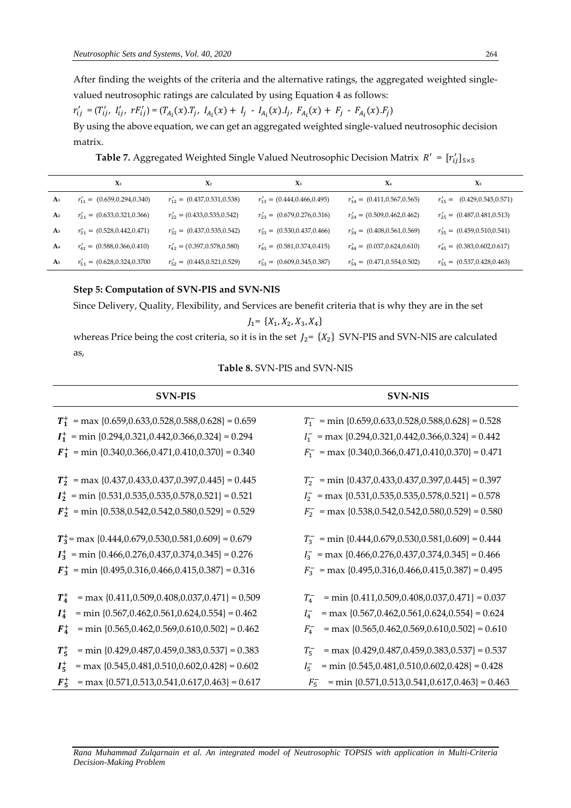After finding the weights of the criteria and the alternative ratings, the aggregated weighted singlevalued neutrosophic ratings are calculated by using Equation 4 as follows:

 $r'_{ij} = (T'_{ij}, I'_{ij}, rF'_{ij}) = (T_{A_i}(x).T_j, I_{A_i}(x) + I_j - I_{A_i}(x).I_j, F_{A_i}(x) + F_j - F_{A_i}(x).F_j)$ By using the above equation, we can get an aggregated weighted single-valued neutrosophic decision matrix.

**Table 7.** Aggregated Weighted Single Valued Neutrosophic Decision Matrix  $R' = [r'_{ij}]_{5 \times 5}$ 

|                | $\mathbf{X}_1$                     | $X_2$                             | $\chi_3$                          | $X_4$                             | $X_5$                             |
|----------------|------------------------------------|-----------------------------------|-----------------------------------|-----------------------------------|-----------------------------------|
| A <sub>1</sub> | $r'_{11} = (0.659, 0.294, 0.340)$  | $r'_{12} = (0.437, 0.531, 0.538)$ | $r'_{13} = (0.444, 0.466, 0.495)$ | $r'_{14} = (0.411, 0.567, 0.565)$ | $r'_{15} = (0.429, 0.545, 0.571)$ |
| A <sub>2</sub> | $r'_{21} = (0.633, 0.321, 0.366)$  | $r'_{22} = (0.433, 0.535, 0.542)$ | $r'_{23} = (0.679, 0.276, 0.316)$ | $r'_{24} = (0.509, 0.462, 0.462)$ | $r'_{25} = (0.487, 0.481, 0.513)$ |
| A <sub>3</sub> | $r'_{31} = (0.528, 0.442, 0.471)$  | $r'_{32} = (0.437, 0.535, 0.542)$ | $r'_{33} = (0.530, 0.437, 0.466)$ | $r'_{34} = (0.408, 0.561, 0.569)$ | $r'_{35} = (0.459, 0.510, 0.541)$ |
| A <sub>4</sub> | $r'_{41} = (0.588, 0.366, 0.410)$  | $r'_{42} = (0.397, 0.578, 0.580)$ | $r'_{43} = (0.581, 0.374, 0.415)$ | $r'_{44} = (0.037, 0.624, 0.610)$ | $r'_{45} = (0.383, 0.602, 0.617)$ |
| A <sub>5</sub> | $r'_{51} = (0.628, 0.324, 0.3700)$ | $r'_{52} = (0.445, 0.521, 0.529)$ | $r'_{53} = (0.609, 0.345, 0.387)$ | $r'_{54} = (0.471, 0.554, 0.502)$ | $r'_{55} = (0.537, 0.428, 0.463)$ |

# **Step 5: Computation of SVN-PIS and SVN-NIS**

Since Delivery, Quality, Flexibility, and Services are benefit criteria that is why they are in the set

$$
J_1\!\!=\ \{X_1,X_2,X_3,X_4\}
$$

whereas Price being the cost criteria, so it is in the set  $J_2$ =  $\{X_2\}$  SVN-PIS and SVN-NIS are calculated as,

| <b>Table 8.</b> SVN-PIS and SVN-NIS |  |
|-------------------------------------|--|
|                                     |  |

| <b>SVN-PIS</b>                                                     | <b>SVN-NIS</b>                                        |
|--------------------------------------------------------------------|-------------------------------------------------------|
| $T_1^+$ = max {0.659,0.633,0.528,0.588,0.628} = 0.659              | $T_1^-$ = min {0.659,0.633,0.528,0.588,0.628} = 0.528 |
| $I_1^+$ = min {0.294,0.321,0.442,0.366,0.324} = 0.294              | $I_1^-$ = max {0.294,0.321,0.442,0.366,0.324} = 0.442 |
| $\mathbf{F_1^+}$ = min {0.340,0.366,0.471,0.410,0.370} = 0.340     | $F_1^-$ = max {0.340,0.366,0.471,0.410,0.370} = 0.471 |
| $T_2^+$ = max {0.437,0.433,0.437,0.397,0.445} = 0.445              | $T_2^-$ = min {0.437,0.433,0.437,0.397,0.445} = 0.397 |
| $I_2^+$ = min {0.531,0.535,0.535,0.578,0.521} = 0.521              | $I_2^-$ = max {0.531,0.535,0.535,0.578,0.521} = 0.578 |
| $\boldsymbol{F}_2^+$ = min {0.538,0.542,0.542,0.580,0.529} = 0.529 | $F_2^-$ = max {0.538,0.542,0.542,0.580,0.529} = 0.580 |
| $T_3^+$ = max {0.444,0.679,0.530,0.581,0.609} = 0.679              | $T_3^-$ = min {0.444,0.679,0.530,0.581,0.609} = 0.444 |
| $I_3^+$ = min {0.466,0.276,0.437,0.374,0.345} = 0.276              | $I_3^-$ = max {0.466,0.276,0.437,0.374,0.345} = 0.466 |
| $\boldsymbol{F_3^+}$ = min {0.495,0.316,0.466,0.415,0.387} = 0.316 | $F_3^-$ = max {0.495,0.316,0.466,0.415,0.387} = 0.495 |
| $T_4^+$                                                            | $= min \{0.411, 0.509, 0.408, 0.037, 0.471\} = 0.037$ |
| $=$ max {0.411,0.509,0.408,0.037,0.471} = 0.509                    | $T_4^-$                                               |
| $= min \{0.567, 0.462, 0.561, 0.624, 0.554\} = 0.462$              | $=$ max {0.567,0.462,0.561,0.624,0.554} = 0.624       |
| $I_4^+$                                                            | $I_4^-$                                               |
| $= min \{0.565, 0.462, 0.569, 0.610, 0.502\} = 0.462$              | $=$ max {0.565,0.462,0.569,0.610,0.502} = 0.610       |
| $F_4^+$                                                            | $F_4^-$                                               |
| $T_5^+$                                                            | $= max \{0.429, 0.487, 0.459, 0.383, 0.537\} = 0.537$ |
| $= min \{0.429, 0.487, 0.459, 0.383, 0.537\} = 0.383$              | $T_5^-$                                               |
| $=$ max {0.545,0.481,0.510,0.602,0.428} = 0.602                    | $= min \{0.545, 0.481, 0.510, 0.602, 0.428\} = 0.428$ |
| $I_5^+$                                                            | $I_5^-$                                               |
| $=$ max {0.571,0.513,0.541,0.617,0.463} = 0.617                    | $= min \{0.571, 0.513, 0.541, 0.617, 0.463\} = 0.463$ |
| $F_5^+$                                                            | $F_5^-$                                               |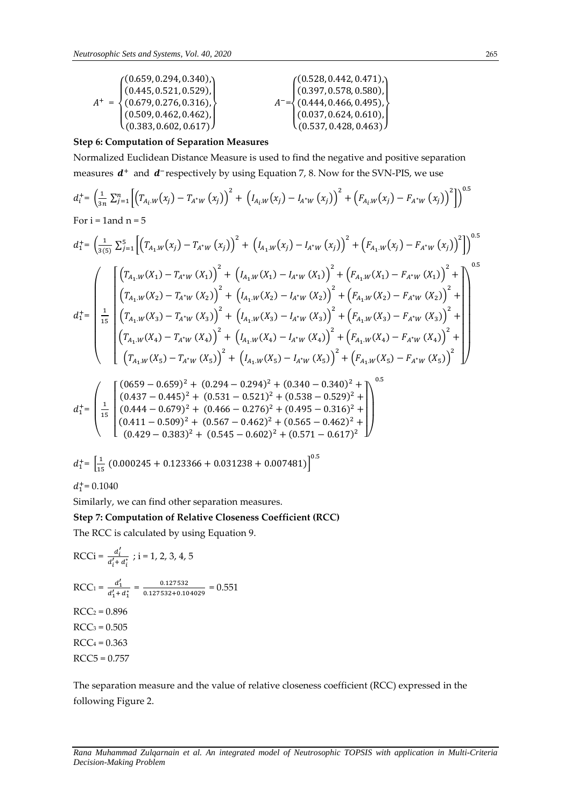| (0.659, 0.294, 0.340)              | (0.528, 0.442, 0.471)                   |
|------------------------------------|-----------------------------------------|
| (0.445, 0.521, 0.529),             | $\left[ (0.397, 0.578, 0.580), \right]$ |
| $A^+ = \{(0.679, 0.276, 0.316),\}$ | $A^{-}=\{(0.444, 0.466, 0.495),\}$      |
| (0.509, 0.462, 0.462)              | (0.037, 0.624, 0.610),                  |
| (0.383, 0.602, 0.617)              | (0.537, 0.428, 0.463)                   |

# **Step 6: Computation of Separation Measures**

Normalized Euclidean Distance Measure is used to find the negative and positive separation measures  $d^+$  and  $d^-$ respectively by using Equation 7, 8. Now for the SVN-PIS, we use

$$
d_i^+ = \left(\frac{1}{3n} \sum_{j=1}^n \left[ \left( T_{A_i \cdot W}(x_j) - T_{A^* W}(x_j) \right)^2 + \left( I_{A_i \cdot W}(x_j) - I_{A^* W}(x_j) \right)^2 + \left( F_{A_i \cdot W}(x_j) - F_{A^* W}(x_j) \right)^2 \right] \right)^{0.5}
$$
  
For i = 1 and n = 5

$$
d_{1}^{+} = \left(\frac{1}{3(5)} \sum_{j=1}^{5} \left[ \left(T_{A_{1}.W}(x_{j}) - T_{A^{*}W}(x_{j})\right)^{2} + \left(I_{A_{1}.W}(x_{j}) - I_{A^{*}W}(x_{j})\right)^{2} + \left(F_{A_{1}.W}(x_{j}) - F_{A^{*}W}(x_{j})\right)^{2} \right] \right)^{0.5}
$$
\n
$$
d_{1}^{+} = \left(\frac{\left[\left(T_{A_{1}.W}(X_{1}) - T_{A^{*}W}(X_{1})\right)^{2} + \left(I_{A_{1}.W}(X_{1}) - I_{A^{*}W}(X_{1})\right)^{2} + \left(F_{A_{1}.W}(X_{1}) - F_{A^{*}W}(X_{1})\right)^{2} + \left(T_{A_{1}.W}(X_{2}) - T_{A^{*}W}(X_{2})\right)^{2} + \left(I_{A_{1}.W}(X_{2}) - I_{A^{*}W}(X_{2})\right)^{2} + \left(F_{A_{1}.W}(X_{2}) - F_{A^{*}W}(X_{2})\right)^{2} + \left(T_{A_{1}.W}(X_{3}) - T_{A^{*}W}(X_{3})\right)^{2} + \left(I_{A_{1}.W}(X_{3}) - I_{A^{*}W}(X_{3})\right)^{2} + \left(F_{A_{1}.W}(X_{3}) - F_{A^{*}W}(X_{3})\right)^{2} + \left(T_{A_{1}.W}(X_{4}) - T_{A^{*}W}(X_{4})\right)^{2} + \left(I_{A_{1}.W}(X_{4}) - I_{A^{*}W}(X_{4})\right)^{2} + \left(F_{A_{1}.W}(X_{4}) - F_{A^{*}W}(X_{4})\right)^{2} + \left(T_{A_{1}.W}(X_{5}) - T_{A^{*}W}(X_{5})\right)^{2} + \left(I_{A_{1}.W}(X_{5}) - I_{A^{*}W}(X_{5})\right)^{2} + \left(F_{A_{1}.W}(X_{5}) - F_{A^{*}W}(X_{5})\right)^{2}\right)
$$
\n
$$
= \left(\frac{6(656 - 0.656)^{2}(1.60204 - 0.204)^{2}(1.6240 - 0.240)(1.240 - 0.240)^{2}(1.
$$

$$
d_1^+ = \left(\begin{array}{c} \left(\begin{array}{c} (0659 - 0.659)^2 + (0.294 - 0.294)^2 + (0.340 - 0.340)^2 + \\ (0.437 - 0.445)^2 + (0.531 - 0.521)^2 + (0.538 - 0.529)^2 + \\ (0.444 - 0.679)^2 + (0.466 - 0.276)^2 + (0.495 - 0.316)^2 + \\ (0.411 - 0.509)^2 + (0.567 - 0.462)^2 + (0.565 - 0.462)^2 + \\ (0.429 - 0.383)^2 + (0.545 - 0.602)^2 + (0.571 - 0.617)^2 \end{array}\right) \end{array}\right)
$$

$$
d_1^+ = \left[\frac{1}{15} (0.000245 + 0.123366 + 0.031238 + 0.007481)\right]^{0.5}
$$
  

$$
d_1^+ = 0.1040
$$

Similarly, we can find other separation measures.

# **Step 7: Computation of Relative Closeness Coefficient (RCC)**

The RCC is calculated by using Equation 9.

$$
RCCi = \frac{d'_i}{d'_i + d^*_i} ; i = 1, 2, 3, 4, 5
$$
  
\n
$$
RCC1 = \frac{d'_1}{d'_1 + d^*_1} = \frac{0.127532}{0.127532 + 0.104029} = 0.551
$$
  
\n
$$
RCC2 = 0.896
$$
  
\n
$$
RCC3 = 0.505
$$
  
\n
$$
RCC4 = 0.363
$$
  
\n
$$
RCC5 = 0.757
$$

The separation measure and the value of relative closeness coefficient (RCC) expressed in the following Figure 2.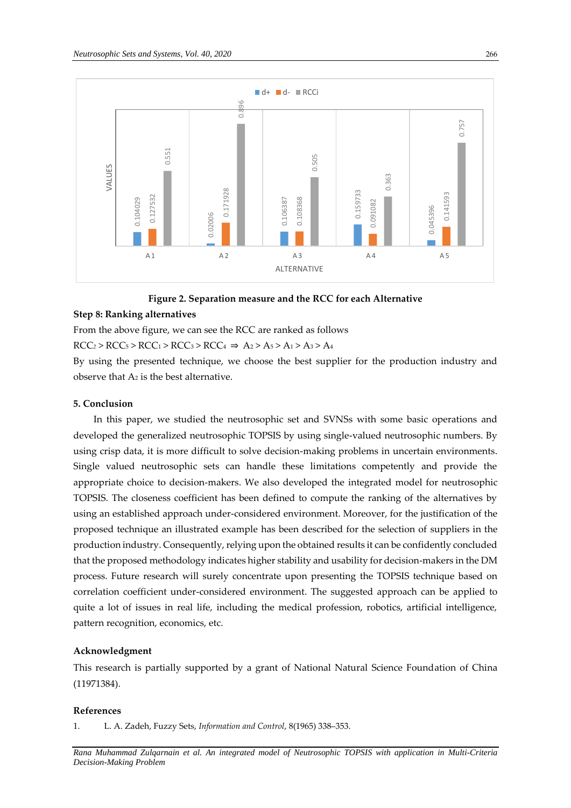

# **Figure 2. Separation measure and the RCC for each Alternative**

# **Step 8: Ranking alternatives**

From the above figure, we can see the RCC are ranked as follows

 $RCC<sub>2</sub> > RCC<sub>5</sub> > RCC<sub>1</sub> > RCC<sub>3</sub> > RCC<sub>4</sub> \Rightarrow A<sub>2</sub> > A<sub>5</sub> > A<sub>1</sub> > A<sub>3</sub> > A<sub>4</sub>$ 

By using the presented technique, we choose the best supplier for the production industry and observe that A<sup>2</sup> is the best alternative.

# **5. Conclusion**

In this paper, we studied the neutrosophic set and SVNSs with some basic operations and developed the generalized neutrosophic TOPSIS by using single-valued neutrosophic numbers. By using crisp data, it is more difficult to solve decision-making problems in uncertain environments. Single valued neutrosophic sets can handle these limitations competently and provide the appropriate choice to decision-makers. We also developed the integrated model for neutrosophic TOPSIS. The closeness coefficient has been defined to compute the ranking of the alternatives by using an established approach under-considered environment. Moreover, for the justification of the proposed technique an illustrated example has been described for the selection of suppliers in the production industry. Consequently, relying upon the obtained results it can be confidently concluded that the proposed methodology indicates higher stability and usability for decision-makers in the DM process. Future research will surely concentrate upon presenting the TOPSIS technique based on correlation coefficient under-considered environment. The suggested approach can be applied to quite a lot of issues in real life, including the medical profession, robotics, artificial intelligence, pattern recognition, economics, etc. 1. L. A. Zadeh, Fuzzy Separation measure and the RCC for Step 8: Ranking alternatives<br>
Figure 2. Separation measure and the RCC for Step 8: Ranking alternatives<br>
From the above figure, we can see the RCC are ranked as fol

#### **Acknowledgment**

This research is partially supported by a grant of National Natural Science Foundation of China (11971384).

#### **References**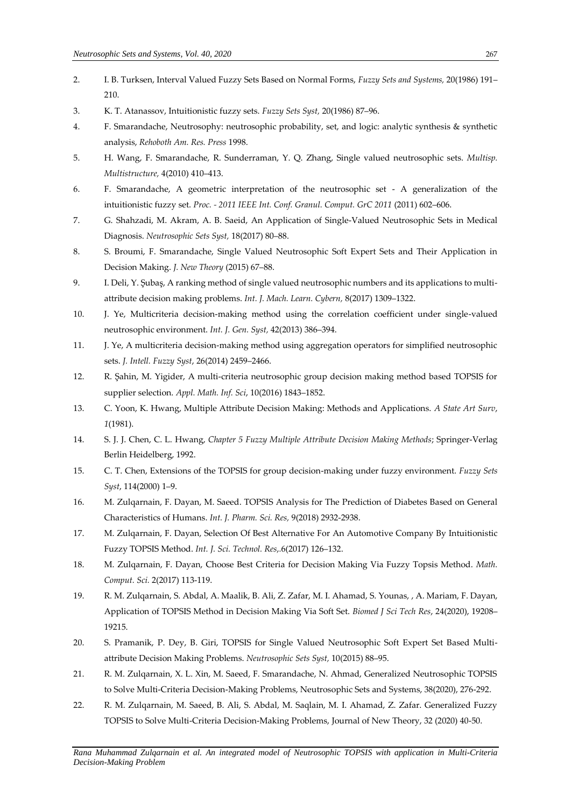- 2. I. B. Turksen, Interval Valued Fuzzy Sets Based on Normal Forms, *Fuzzy Sets and Systems,* 20(1986) 191– 210.
- 3. K. T. Atanassov, Intuitionistic fuzzy sets. *Fuzzy Sets Syst,* 20(1986) 87–96.
- 4. F. Smarandache, Neutrosophy: neutrosophic probability, set, and logic: analytic synthesis & synthetic analysis, *Rehoboth Am. Res. Press* 1998.
- 5. H. Wang, F. Smarandache, R. Sunderraman, Y. Q. Zhang, Single valued neutrosophic sets. *Multisp. Multistructure,* 4(2010) 410–413.
- 6. F. Smarandache, A geometric interpretation of the neutrosophic set A generalization of the intuitionistic fuzzy set. *Proc. - 2011 IEEE Int. Conf. Granul. Comput. GrC 2011* (2011) 602–606.
- 7. G. Shahzadi, M. Akram, A. B. Saeid, An Application of Single-Valued Neutrosophic Sets in Medical Diagnosis. *Neutrosophic Sets Syst,* 18(2017) 80–88.
- 8. S. Broumi, F. Smarandache, Single Valued Neutrosophic Soft Expert Sets and Their Application in Decision Making. *J. New Theory* (2015) 67–88.
- 9. I. Deli, Y. Şubaş, A ranking method of single valued neutrosophic numbers and its applications to multiattribute decision making problems. *Int. J. Mach. Learn. Cybern,* 8(2017) 1309–1322.
- 10. J. Ye, Multicriteria decision-making method using the correlation coefficient under single-valued neutrosophic environment. *Int. J. Gen. Syst,* 42(2013) 386–394.
- 11. J. Ye, A multicriteria decision-making method using aggregation operators for simplified neutrosophic sets. *J. Intell. Fuzzy Syst*, 26(2014) 2459–2466.
- 12. R. Şahin, M. Yigider, A multi-criteria neutrosophic group decision making method based TOPSIS for supplier selection. *Appl. Math. Inf. Sci*, 10(2016) 1843–1852.
- 13. C. Yoon, K. Hwang, Multiple Attribute Decision Making: Methods and Applications. *A State Art Surv*, *1*(1981).
- 14. S. J. J. Chen, C. L. Hwang, *Chapter 5 Fuzzy Multiple Attribute Decision Making Methods*; Springer-Verlag Berlin Heidelberg, 1992.
- 15. C. T. Chen, Extensions of the TOPSIS for group decision-making under fuzzy environment. *Fuzzy Sets Syst*, 114(2000) 1–9.
- 16. M. Zulqarnain, F. Dayan, M. Saeed. TOPSIS Analysis for The Prediction of Diabetes Based on General Characteristics of Humans. *Int. J. Pharm. Sci. Res,* 9(2018) 2932-2938.
- 17. M. Zulqarnain, F. Dayan, Selection Of Best Alternative For An Automotive Company By Intuitionistic Fuzzy TOPSIS Method. *Int. J. Sci. Technol. Res*,*.*6(2017) 126–132.
- 18. M. Zulqarnain, F. Dayan, Choose Best Criteria for Decision Making Via Fuzzy Topsis Method. *Math. Comput. Sci.* 2(2017) 113-119.
- 19. R. M. Zulqarnain, S. Abdal, A. Maalik, B. Ali, Z. Zafar, M. I. Ahamad, S. Younas, , A. Mariam, F. Dayan, Application of TOPSIS Method in Decision Making Via Soft Set. *Biomed J Sci Tech Res*, 24(2020), 19208– 19215.
- 20. S. Pramanik, P. Dey, B. Giri, TOPSIS for Single Valued Neutrosophic Soft Expert Set Based Multiattribute Decision Making Problems. *Neutrosophic Sets Syst,* 10(2015) 88–95.
- 21. R. M. Zulqarnain, X. L. Xin, M. Saeed, F. Smarandache, N. Ahmad, Generalized Neutrosophic TOPSIS to Solve Multi-Criteria Decision-Making Problems, Neutrosophic Sets and Systems, 38(2020), 276-292.
- 22. R. M. Zulqarnain, M. Saeed, B. Ali, S. Abdal, M. Saqlain, M. I. Ahamad, Z. Zafar. Generalized Fuzzy TOPSIS to Solve Multi-Criteria Decision-Making Problems, Journal of New Theory, 32 (2020) 40-50.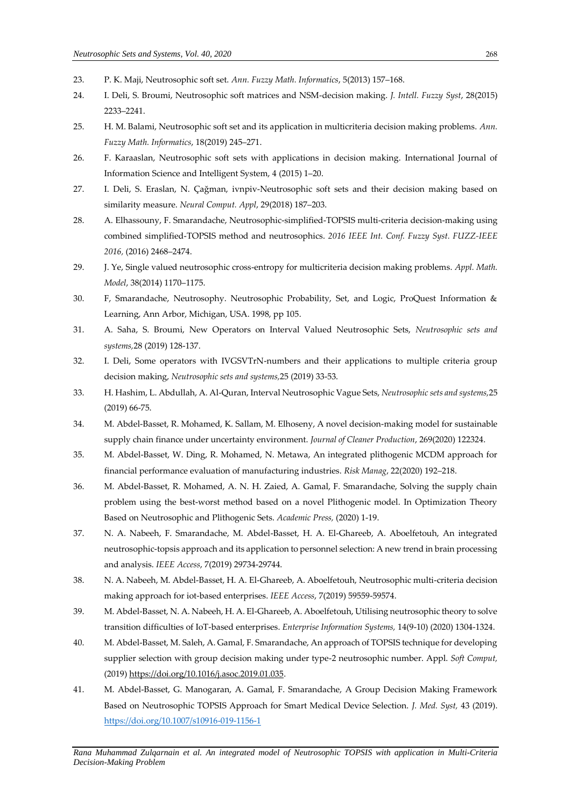- 23. P. K. Maji, Neutrosophic soft set. *Ann. Fuzzy Math. Informatics*, 5(2013) 157–168.
- 24. I. Deli, S. Broumi, Neutrosophic soft matrices and NSM-decision making. *J. Intell. Fuzzy Syst*, 28(2015) 2233–2241.
- 25. H. M. Balami, Neutrosophic soft set and its application in multicriteria decision making problems. *Ann. Fuzzy Math. Informatics*, 18(2019) 245–271.
- 26. F. Karaaslan, Neutrosophic soft sets with applications in decision making. International Journal of Information Science and Intelligent System, 4 (2015) 1–20.
- 27. I. Deli, S. Eraslan, N. Çağman, ivnpiv-Neutrosophic soft sets and their decision making based on similarity measure. *Neural Comput. Appl*, 29(2018) 187–203.
- 28. A. Elhassouny, F. Smarandache, Neutrosophic-simplified-TOPSIS multi-criteria decision-making using combined simplified-TOPSIS method and neutrosophics. *2016 IEEE Int. Conf. Fuzzy Syst. FUZZ-IEEE 2016,* (2016) 2468–2474.
- 29. J. Ye, Single valued neutrosophic cross-entropy for multicriteria decision making problems. *Appl. Math. Model*, 38(2014) 1170–1175.
- 30. F, Smarandache, Neutrosophy. Neutrosophic Probability, Set, and Logic, ProQuest Information & Learning, Ann Arbor, Michigan, USA. 1998, pp 105.
- 31. A. Saha, S. Broumi, New Operators on Interval Valued Neutrosophic Sets, *Neutrosophic sets and systems,*28 (2019) 128-137.
- 32. I. Deli, Some operators with IVGSVTrN-numbers and their applications to multiple criteria group decision making, *Neutrosophic sets and systems,*25 (2019) 33-53.
- 33. H. Hashim, L. Abdullah, A. Al-Quran, Interval Neutrosophic Vague Sets, *Neutrosophic sets and systems,*25 (2019) 66-75.
- 34. M. Abdel-Basset, R. Mohamed, K. Sallam, M. Elhoseny, A novel decision-making model for sustainable supply chain finance under uncertainty environment. *Journal of Cleaner Production*, 269(2020) 122324.
- 35. M. Abdel-Basset, W. Ding, R. Mohamed, N. Metawa, An integrated plithogenic MCDM approach for financial performance evaluation of manufacturing industries. *Risk Manag*, 22(2020) 192–218.
- 36. M. Abdel-Basset, R. Mohamed, A. N. H. Zaied, A. Gamal, F. Smarandache, Solving the supply chain problem using the best-worst method based on a novel Plithogenic model. In Optimization Theory Based on Neutrosophic and Plithogenic Sets. *Academic Press,* (2020) 1-19.
- 37. N. A. Nabeeh, F. Smarandache, M. Abdel-Basset, H. A. El-Ghareeb, A. Aboelfetouh, An integrated neutrosophic-topsis approach and its application to personnel selection: A new trend in brain processing and analysis. *IEEE Access*, 7(2019) 29734-29744.
- 38. N. A. Nabeeh, M. Abdel-Basset, H. A. El-Ghareeb, A. Aboelfetouh, Neutrosophic multi-criteria decision making approach for iot-based enterprises. *IEEE Access*, 7(2019) 59559-59574.
- 39. M. Abdel-Basset, N. A. Nabeeh, H. A. El-Ghareeb, A. Aboelfetouh, Utilising neutrosophic theory to solve transition difficulties of IoT-based enterprises. *Enterprise Information Systems,* 14(9-10) (2020) 1304-1324.
- 40. M. Abdel-Basset, M. Saleh, A. Gamal, F. Smarandache, An approach of TOPSIS technique for developing supplier selection with group decision making under type-2 neutrosophic number. Appl. *Soft Comput,* (2019) [https://doi.org/10.1016/j.asoc.2019.01.035.](https://doi.org/10.1016/j.asoc.2019.01.035)
- 41. M. Abdel-Basset, G. Manogaran, A. Gamal, F. Smarandache, A Group Decision Making Framework Based on Neutrosophic TOPSIS Approach for Smart Medical Device Selection. *J. Med. Syst,* 43 (2019). <https://doi.org/10.1007/s10916-019-1156-1>